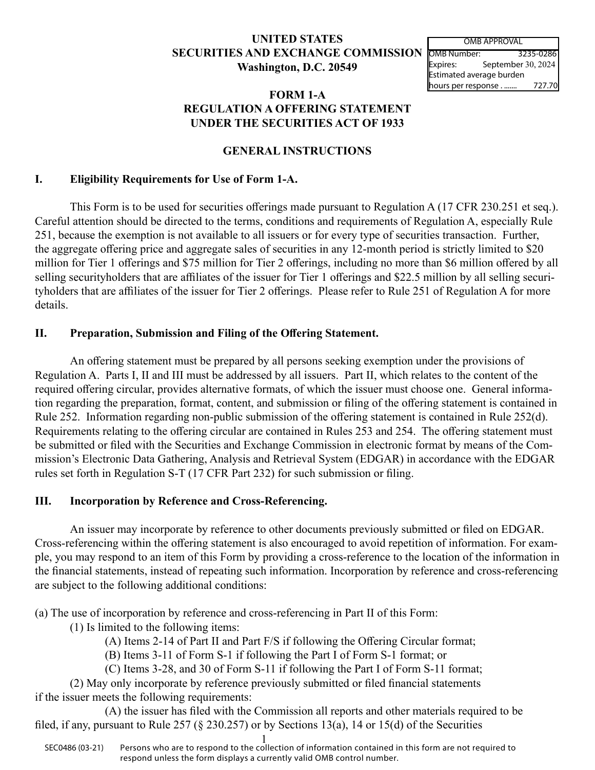### **UNITED STATES SECURITIES AND EXCHANGE COMMISSION Washington, D.C. 20549**

#### OMB APPROVAL OMB Number: 3235-0286 Expires: September 30, 2024 Estimated average burden hours per response . ........ 727.70

### **FORM 1-A REGULATION A OFFERING STATEMENT UNDER THE SECURITIES ACT OF 1933**

### **GENERAL INSTRUCTIONS**

#### **I. Eligibility Requirements for Use of Form 1-A.**

This Form is to be used for securities offerings made pursuant to Regulation A (17 CFR 230.251 et seq.). Careful attention should be directed to the terms, conditions and requirements of Regulation A, especially Rule 251, because the exemption is not available to all issuers or for every type of securities transaction. Further, the aggregate offering price and aggregate sales of securities in any 12-month period is strictly limited to \$20 million for Tier 1 offerings and \$75 million for Tier 2 offerings, including no more than \$6 million offered by all selling securityholders that are affiliates of the issuer for Tier 1 offerings and \$22.5 million by all selling securityholders that are affiliates of the issuer for Tier 2 offerings. Please refer to Rule 251 of Regulation A for more details.

#### **II. Preparation, Submission and Filing of the Offering Statement.**

An offering statement must be prepared by all persons seeking exemption under the provisions of Regulation A. Parts I, II and III must be addressed by all issuers. Part II, which relates to the content of the required offering circular, provides alternative formats, of which the issuer must choose one. General information regarding the preparation, format, content, and submission or filing of the offering statement is contained in Rule 252. Information regarding non-public submission of the offering statement is contained in Rule 252(d). Requirements relating to the offering circular are contained in Rules 253 and 254. The offering statement must be submitted or filed with the Securities and Exchange Commission in electronic format by means of the Commission's Electronic Data Gathering, Analysis and Retrieval System (EDGAR) in accordance with the EDGAR rules set forth in Regulation S-T (17 CFR Part 232) for such submission or filing.

### **III. Incorporation by Reference and Cross-Referencing.**

An issuer may incorporate by reference to other documents previously submitted or filed on EDGAR. Cross-referencing within the offering statement is also encouraged to avoid repetition of information. For example, you may respond to an item of this Form by providing a cross-reference to the location of the information in the financial statements, instead of repeating such information. Incorporation by reference and cross-referencing are subject to the following additional conditions:

(a) The use of incorporation by reference and cross-referencing in Part II of this Form:

(1) Is limited to the following items:

(A) Items 2-14 of Part II and Part F/S if following the Offering Circular format;

(B) Items 3-11 of Form S-1 if following the Part I of Form S-1 format; or

(C) Items 3-28, and 30 of Form S-11 if following the Part I of Form S-11 format;

(2) May only incorporate by reference previously submitted or filed financial statements if the issuer meets the following requirements:

(A) the issuer has filed with the Commission all reports and other materials required to be filed, if any, pursuant to Rule 257 (§ 230.257) or by Sections 13(a), 14 or 15(d) of the Securities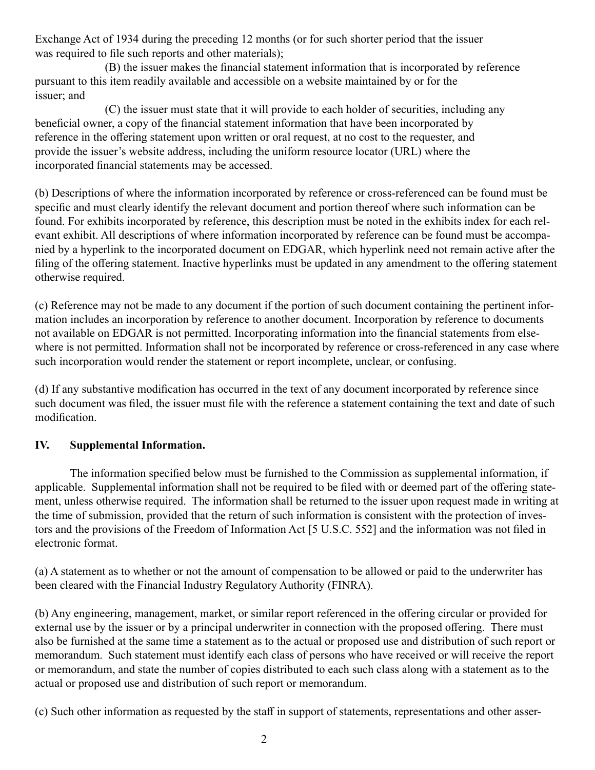Exchange Act of 1934 during the preceding 12 months (or for such shorter period that the issuer was required to file such reports and other materials);

(B) the issuer makes the financial statement information that is incorporated by reference pursuant to this item readily available and accessible on a website maintained by or for the issuer; and

(C) the issuer must state that it will provide to each holder of securities, including any beneficial owner, a copy of the financial statement information that have been incorporated by reference in the offering statement upon written or oral request, at no cost to the requester, and provide the issuer's website address, including the uniform resource locator (URL) where the incorporated financial statements may be accessed.

(b) Descriptions of where the information incorporated by reference or cross-referenced can be found must be specific and must clearly identify the relevant document and portion thereof where such information can be found. For exhibits incorporated by reference, this description must be noted in the exhibits index for each relevant exhibit. All descriptions of where information incorporated by reference can be found must be accompanied by a hyperlink to the incorporated document on EDGAR, which hyperlink need not remain active after the filing of the offering statement. Inactive hyperlinks must be updated in any amendment to the offering statement otherwise required.

(c) Reference may not be made to any document if the portion of such document containing the pertinent information includes an incorporation by reference to another document. Incorporation by reference to documents not available on EDGAR is not permitted. Incorporating information into the financial statements from elsewhere is not permitted. Information shall not be incorporated by reference or cross-referenced in any case where such incorporation would render the statement or report incomplete, unclear, or confusing.

(d) If any substantive modification has occurred in the text of any document incorporated by reference since such document was filed, the issuer must file with the reference a statement containing the text and date of such modification.

## **IV. Supplemental Information.**

The information specified below must be furnished to the Commission as supplemental information, if applicable. Supplemental information shall not be required to be filed with or deemed part of the offering statement, unless otherwise required. The information shall be returned to the issuer upon request made in writing at the time of submission, provided that the return of such information is consistent with the protection of investors and the provisions of the Freedom of Information Act [5 U.S.C. 552] and the information was not filed in electronic format.

(a) A statement as to whether or not the amount of compensation to be allowed or paid to the underwriter has been cleared with the Financial Industry Regulatory Authority (FINRA).

(b) Any engineering, management, market, or similar report referenced in the offering circular or provided for external use by the issuer or by a principal underwriter in connection with the proposed offering. There must also be furnished at the same time a statement as to the actual or proposed use and distribution of such report or memorandum. Such statement must identify each class of persons who have received or will receive the report or memorandum, and state the number of copies distributed to each such class along with a statement as to the actual or proposed use and distribution of such report or memorandum.

(c) Such other information as requested by the staff in support of statements, representations and other asser-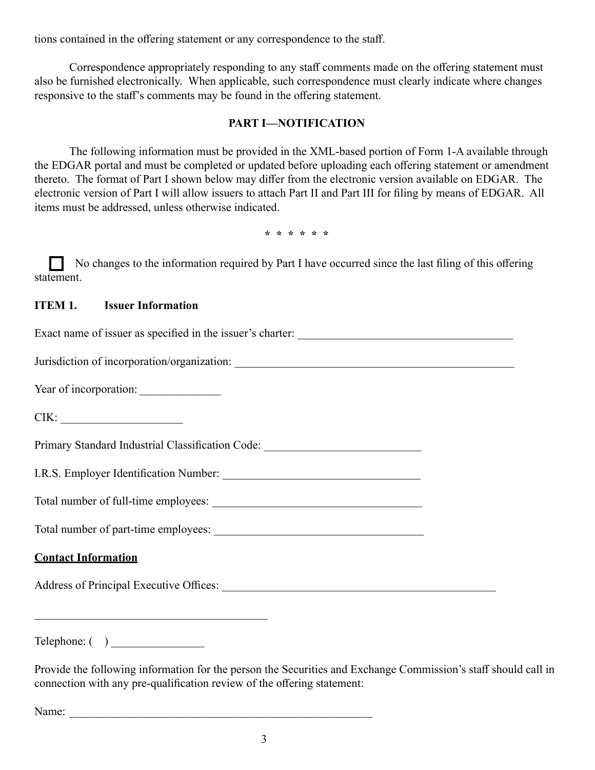tions contained in the offering statement or any correspondence to the staff.

Correspondence appropriately responding to any staff comments made on the offering statement must also be furnished electronically. When applicable, such correspondence must clearly indicate where changes responsive to the staff's comments may be found in the offering statement.

#### **PART I—NOTIFICATION**

The following information must be provided in the XML-based portion of Form 1-A available through the EDGAR portal and must be completed or updated before uploading each offering statement or amendment thereto. The format of Part I shown below may differ from the electronic version available on EDGAR. The electronic version of Part I will allow issuers to attach Part II and Part III for filing by means of EDGAR. All items must be addressed, unless otherwise indicated.

**\* \* \* \* \* \***

 $\Box$  No changes to the information required by Part I have occurred since the last filing of this offering statement.

#### **ITEM 1. Issuer Information**

Exact name of issuer as specified in the issuer's charter:

Jurisdiction of incorporation/organization: \_\_\_\_\_\_\_\_\_\_\_\_\_\_\_\_\_\_\_\_\_\_\_\_\_\_\_\_\_\_\_\_\_\_\_\_\_\_\_\_\_\_\_\_\_\_\_\_ 

Year of incorporation:

CIK:

Primary Standard Industrial Classification Code: \_\_\_\_\_\_\_\_\_\_\_\_\_\_\_\_\_\_\_\_\_\_\_\_\_\_\_\_\_\_\_

I.R.S. Employer Identification Number: \_\_\_\_\_\_\_\_\_\_\_\_\_\_\_\_\_\_\_\_\_\_\_\_\_\_\_\_\_\_\_\_\_\_

| Total number of full-time employees: |
|--------------------------------------|
|--------------------------------------|

Total number of part-time employees:

#### **Contact Information**

Address of Principal Executive Offices:

Telephone:  $( )$ 

Provide the following information for the person the Securities and Exchange Commission's staff should call in connection with any pre-qualification review of the offering statement:

Name: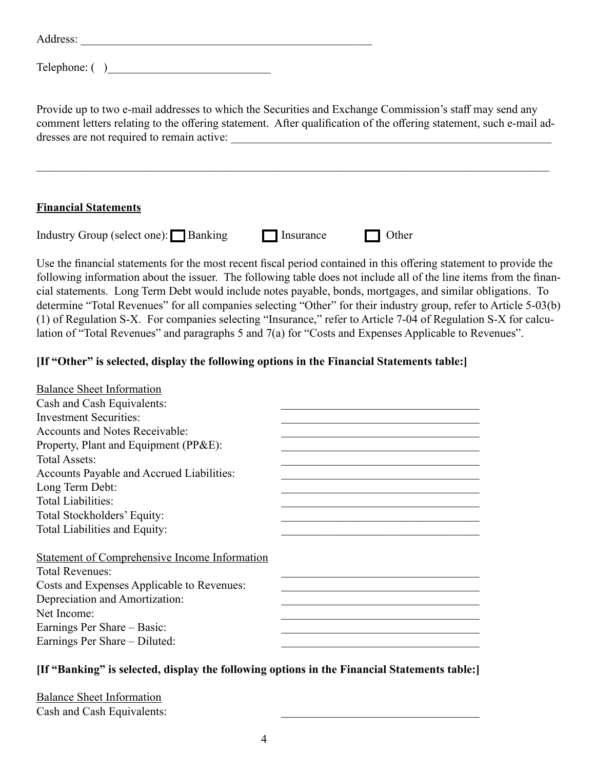| Address:                                                                                                |  |
|---------------------------------------------------------------------------------------------------------|--|
| Telephone: ()                                                                                           |  |
| Drovida up to two a mail addresses to which the Securities and Exchange Commission's staff may send any |  |

Provide up to two e-mail addresses to which the Securities and Exchange Commission's staff may send any comment letters relating to the offering statement. After qualification of the offering statement, such e-mail addresses are not required to remain active:

\_\_\_\_\_\_\_\_\_\_\_\_\_\_\_\_\_\_\_\_\_\_\_\_\_\_\_\_\_\_\_\_\_\_\_\_\_\_\_\_\_\_\_\_\_\_\_\_\_\_\_\_\_\_\_\_\_\_\_\_\_\_\_\_\_\_\_\_\_\_\_\_\_\_\_\_\_\_\_\_\_\_\_\_\_\_\_\_

### **Financial Statements**

Industry Group (select one): Banking Insurance Other

Use the financial statements for the most recent fiscal period contained in this offering statement to provide the following information about the issuer. The following table does not include all of the line items from the financial statements. Long Term Debt would include notes payable, bonds, mortgages, and similar obligations. To determine "Total Revenues" for all companies selecting "Other" for their industry group, refer to Article 5-03(b) (1) of Regulation S-X. For companies selecting "Insurance," refer to Article 7-04 of Regulation S-X for calculation of "Total Revenues" and paragraphs 5 and 7(a) for "Costs and Expenses Applicable to Revenues".

## **[If "Other" is selected, display the following options in the Financial Statements table:]**

| <b>Balance Sheet Information</b>                     |  |
|------------------------------------------------------|--|
| Cash and Cash Equivalents:                           |  |
| Investment Securities:                               |  |
| <b>Accounts and Notes Receivable:</b>                |  |
| Property, Plant and Equipment (PP&E):                |  |
| <b>Total Assets:</b>                                 |  |
| Accounts Payable and Accrued Liabilities:            |  |
| Long Term Debt:                                      |  |
| Total Liabilities:                                   |  |
| Total Stockholders' Equity:                          |  |
| Total Liabilities and Equity:                        |  |
|                                                      |  |
| <b>Statement of Comprehensive Income Information</b> |  |
| <b>Total Revenues:</b>                               |  |
| Costs and Expenses Applicable to Revenues:           |  |
| Depreciation and Amortization:                       |  |
| Net Income:                                          |  |
| Earnings Per Share – Basic:                          |  |
| Earnings Per Share – Diluted:                        |  |
|                                                      |  |

## **[If "Banking" is selected, display the following options in the Financial Statements table:]**

Balance Sheet Information Cash and Cash Equivalents: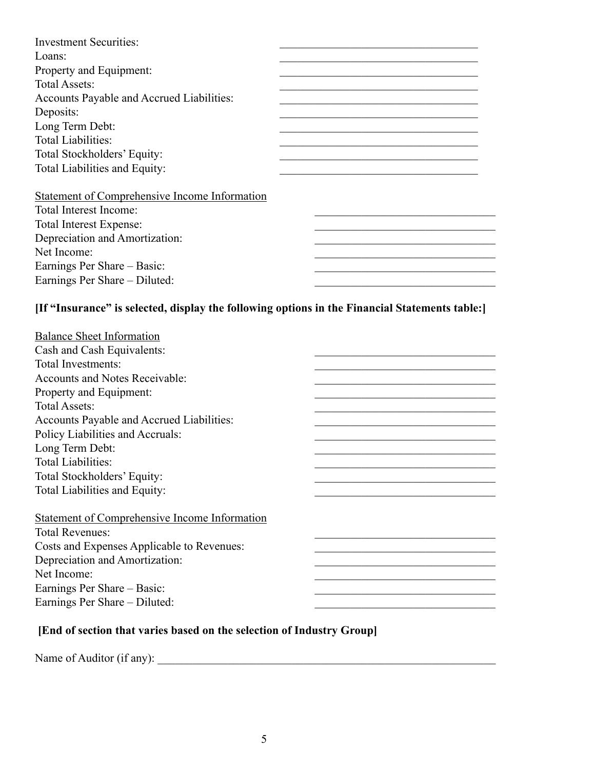| <b>Investment Securities:</b>                                                                  |  |
|------------------------------------------------------------------------------------------------|--|
| Loans:                                                                                         |  |
| Property and Equipment:                                                                        |  |
| <b>Total Assets:</b>                                                                           |  |
| Accounts Payable and Accrued Liabilities:                                                      |  |
| Deposits:                                                                                      |  |
| Long Term Debt:                                                                                |  |
| <b>Total Liabilities:</b>                                                                      |  |
| Total Stockholders' Equity:                                                                    |  |
| Total Liabilities and Equity:                                                                  |  |
|                                                                                                |  |
| <b>Statement of Comprehensive Income Information</b>                                           |  |
| <b>Total Interest Income:</b>                                                                  |  |
| <b>Total Interest Expense:</b>                                                                 |  |
| Depreciation and Amortization:                                                                 |  |
| Net Income:                                                                                    |  |
| Earnings Per Share - Basic:                                                                    |  |
| Earnings Per Share - Diluted:                                                                  |  |
|                                                                                                |  |
|                                                                                                |  |
| [If "Insurance" is selected, display the following options in the Financial Statements table:] |  |
|                                                                                                |  |
| <b>Balance Sheet Information</b>                                                               |  |
| Cash and Cash Equivalents:                                                                     |  |
| <b>Total Investments:</b>                                                                      |  |
| <b>Accounts and Notes Receivable:</b>                                                          |  |
| Property and Equipment:                                                                        |  |
| <b>Total Assets:</b>                                                                           |  |
| Accounts Payable and Accrued Liabilities:                                                      |  |
| Policy Liabilities and Accruals:                                                               |  |
| Long Term Debt:                                                                                |  |
| <b>Total Liabilities:</b>                                                                      |  |
| Total Stockholders' Equity:                                                                    |  |
| Total Liabilities and Equity:                                                                  |  |
|                                                                                                |  |
| <b>Statement of Comprehensive Income Information</b>                                           |  |
| <b>Total Revenues:</b>                                                                         |  |
| Costs and Expenses Applicable to Revenues:                                                     |  |
| Depreciation and Amortization:                                                                 |  |
| Net Income:                                                                                    |  |
| Earnings Per Share - Basic:                                                                    |  |
| Earnings Per Share - Diluted:                                                                  |  |

# **[End of section that varies based on the selection of Industry Group]**

Name of Auditor (if any): \_\_\_\_\_\_\_\_\_\_\_\_\_\_\_\_\_\_\_\_\_\_\_\_\_\_\_\_\_\_\_\_\_\_\_\_\_\_\_\_\_\_\_\_\_\_\_\_\_\_\_\_\_\_\_\_\_\_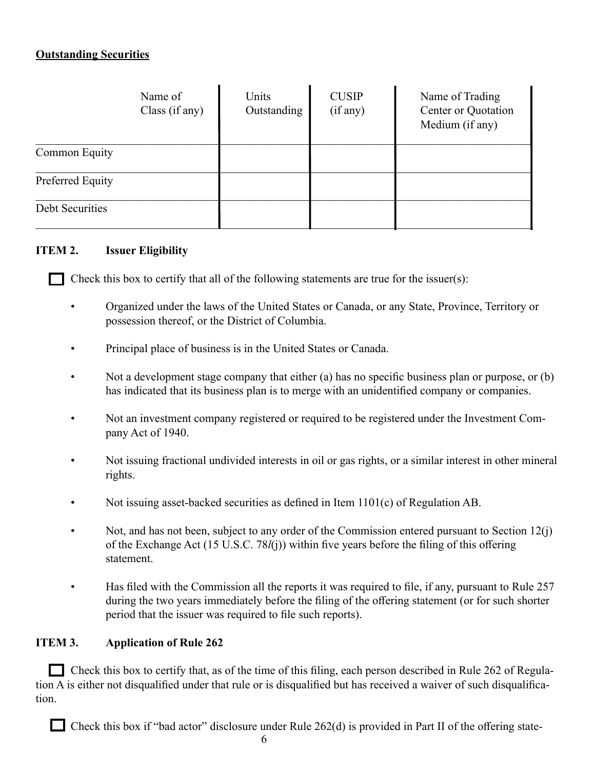## **Outstanding Securities**

|                        | Name of<br>Class (if any) | Units<br>Outstanding | <b>CUSIP</b><br>(if any) | Name of Trading<br>Center or Quotation<br>Medium (if any) |
|------------------------|---------------------------|----------------------|--------------------------|-----------------------------------------------------------|
| Common Equity          |                           |                      |                          |                                                           |
| Preferred Equity       |                           |                      |                          |                                                           |
| <b>Debt Securities</b> |                           |                      |                          |                                                           |

#### **ITEM 2. Issuer Eligibility**

Check this box to certify that all of the following statements are true for the issuer(s):

- • Organized under the laws of the United States or Canada, or any State, Province, Territory or possession thereof, or the District of Columbia.
- Principal place of business is in the United States or Canada.
- Not a development stage company that either (a) has no specific business plan or purpose, or (b) has indicated that its business plan is to merge with an unidentified company or companies.
- Not an investment company registered or required to be registered under the Investment Com- pany Act of 1940.
- Not issuing fractional undivided interests in oil or gas rights, or a similar interest in other mineral rights.
- Not issuing asset-backed securities as defined in Item  $1101(c)$  of Regulation AB.
- Not, and has not been, subject to any order of the Commission entered pursuant to Section  $12(i)$  of the Exchange Act (15 U.S.C. 78*l*(j)) within five years before the filing of this offering statement.
- Has filed with the Commission all the reports it was required to file, if any, pursuant to Rule 257 during the two years immediately before the filing of the offering statement (or for such shorter period that the issuer was required to file such reports).

#### **ITEM 3. Application of Rule 262**

Check this box to certify that, as of the time of this filing, each person described in Rule 262 of Regulation A is either not disqualified under that rule or is disqualified but has received a waiver of such disqualification.

Check this box if "bad actor" disclosure under Rule  $262(d)$  is provided in Part II of the offering state-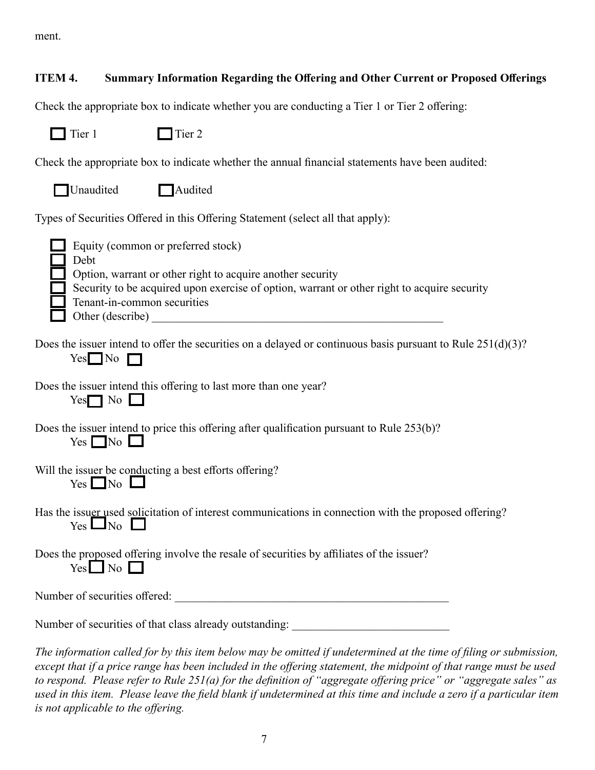|--|

## **ITEM 4. Summary Information Regarding the Offering and Other Current or Proposed Offerings**

Check the appropriate box to indicate whether you are conducting a Tier 1 or Tier 2 offering:

Tier 1 Tier 2

Check the appropriate box to indicate whether the annual financial statements have been audited:

Unaudited Audited

Types of Securities Offered in this Offering Statement (select all that apply):

| Equity (common or preferred stock)<br>Debt<br>Option, warrant or other right to acquire another security<br>Security to be acquired upon exercise of option, warrant or other right to acquire security<br>Tenant-in-common securities |
|----------------------------------------------------------------------------------------------------------------------------------------------------------------------------------------------------------------------------------------|
| Does the issuer intend to offer the securities on a delayed or continuous basis pursuant to Rule $251(d)(3)$ ?<br>$Yes \blacksquare No \blacksquare$                                                                                   |
| Does the issuer intend this offering to last more than one year?<br>$Yes \Box No \Box$                                                                                                                                                 |
| Does the issuer intend to price this offering after qualification pursuant to Rule 253(b)?<br>Yes $\Box$ No $\Box$                                                                                                                     |
| Will the issuer be conducting a best efforts offering?<br>$Yes \Box No \Box$                                                                                                                                                           |
| Has the issuer used solicitation of interest communications in connection with the proposed offering?<br>$Yes \Box No \Box$                                                                                                            |
| Does the proposed offering involve the resale of securities by affiliates of the issuer?<br>$Yes \Box No \Box$                                                                                                                         |
|                                                                                                                                                                                                                                        |
| Number of securities of that class already outstanding: ________________________                                                                                                                                                       |
| The information called for by this item below may be omitted if undetermined at the time of filing or submission,<br>except that if a price range has been included in the offering statement, the midpoint of that range must be used |

*except that if a price range has been included in the offering statement, the midpoint of that range must be used to respond. Please refer to Rule 251(a) for the definition of "aggregate offering price" or "aggregate sales" as used in this item. Please leave the field blank if undetermined at this time and include a zero if a particular item is not applicable to the offering.*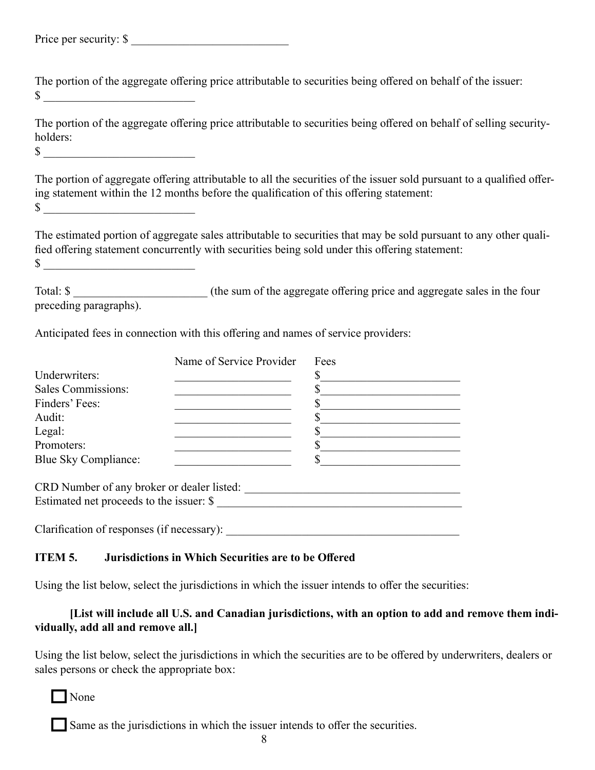| Price per security: $\frac{1}{2}$                                                                                                                                                                                                                                                                                                                                                                                                                                                      |                                                                                                                        |
|----------------------------------------------------------------------------------------------------------------------------------------------------------------------------------------------------------------------------------------------------------------------------------------------------------------------------------------------------------------------------------------------------------------------------------------------------------------------------------------|------------------------------------------------------------------------------------------------------------------------|
| $\sim$                                                                                                                                                                                                                                                                                                                                                                                                                                                                                 | The portion of the aggregate offering price attributable to securities being offered on behalf of the issuer:          |
| holders:<br>$\sim$                                                                                                                                                                                                                                                                                                                                                                                                                                                                     | The portion of the aggregate offering price attributable to securities being offered on behalf of selling security-    |
| ing statement within the 12 months before the qualification of this offering statement:<br>$\sim$                                                                                                                                                                                                                                                                                                                                                                                      | The portion of aggregate offering attributable to all the securities of the issuer sold pursuant to a qualified offer- |
| fied offering statement concurrently with securities being sold under this offering statement:<br>$\sim$                                                                                                                                                                                                                                                                                                                                                                               | The estimated portion of aggregate sales attributable to securities that may be sold pursuant to any other quali-      |
| preceding paragraphs).                                                                                                                                                                                                                                                                                                                                                                                                                                                                 | Total: \$                                                                                                              |
| Anticipated fees in connection with this offering and names of service providers:                                                                                                                                                                                                                                                                                                                                                                                                      |                                                                                                                        |
| Name of Service Provider<br>Underwriters:<br><b>Sales Commissions:</b><br>Finders' Fees:<br>Audit:<br><u> 2008 - Johann John Stone, mars et al. (2008)</u><br>Legal:<br><u> 1989 - Johann John Stein, mars an Francisco (f. 19</u><br>Promoters:<br><b>Blue Sky Compliance:</b><br><u> 1990 - Johann Barbara, martin a</u><br>CRD Number of any broker or dealer listed:<br>Estimated net proceeds to the issuer: \$<br>ITEM 5.<br>Jurisdictions in Which Securities are to be Offered | Fees<br>$\frac{1}{2}$<br>s<br>s<br>s<br>s<br>$\frac{1}{2}$<br>s                                                        |
|                                                                                                                                                                                                                                                                                                                                                                                                                                                                                        | Using the list below, select the jurisdictions in which the issuer intends to offer the securities:                    |
|                                                                                                                                                                                                                                                                                                                                                                                                                                                                                        | [List will include all U.S. and Canadian jurisdictions, with an option to add and remove them indi-                    |

# **vidually, add all and remove all.]**

Using the list below, select the jurisdictions in which the securities are to be offered by underwriters, dealers or sales persons or check the appropriate box:

 None

 Same as the jurisdictions in which the issuer intends to offer the securities.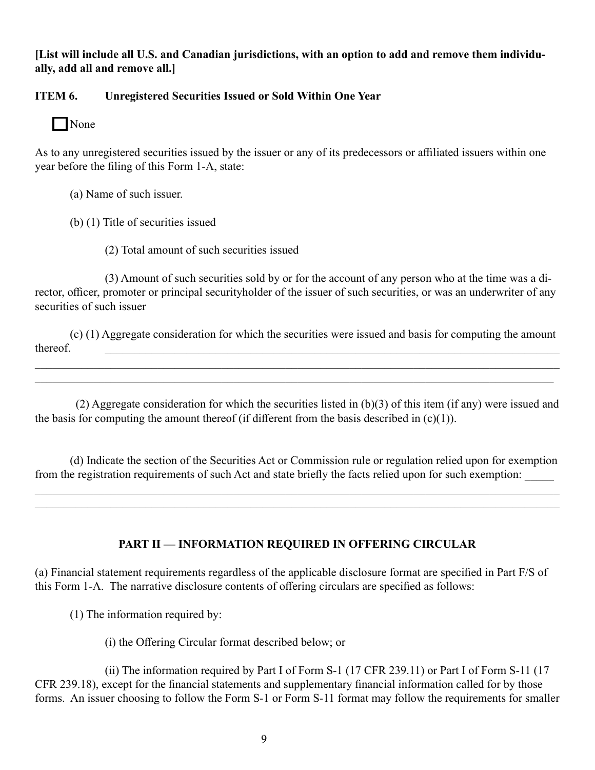**[List will include all U.S. and Canadian jurisdictions, with an option to add and remove them individually, add all and remove all.]**

### **ITEM 6. Unregistered Securities Issued or Sold Within One Year**

 None

As to any unregistered securities issued by the issuer or any of its predecessors or affiliated issuers within one year before the filing of this Form 1-A, state:

 (a) Name of such issuer.

 (b) (1) Title of securities issued

 (2) Total amount of such securities issued

 (3) Amount of such securities sold by or for the account of any person who at the time was a director, officer, promoter or principal securityholder of the issuer of such securities, or was an underwriter of any securities of such issuer

 (c) (1) Aggregate consideration for which the securities were issued and basis for computing the amount  $\blacksquare$  thereof.

 $\_$  , and the set of the set of the set of the set of the set of the set of the set of the set of the set of the set of the set of the set of the set of the set of the set of the set of the set of the set of the set of th  $\_$  , and the set of the set of the set of the set of the set of the set of the set of the set of the set of the set of the set of the set of the set of the set of the set of the set of the set of the set of the set of th

 (2) Aggregate consideration for which the securities listed in (b)(3) of this item (if any) were issued and the basis for computing the amount thereof (if different from the basis described in  $(c)(1)$ ).

 (d) Indicate the section of the Securities Act or Commission rule or regulation relied upon for exemption from the registration requirements of such Act and state briefly the facts relied upon for such exemption:

 $\mathcal{L}_\mathcal{L} = \{ \mathcal{L}_\mathcal{L} = \{ \mathcal{L}_\mathcal{L} = \{ \mathcal{L}_\mathcal{L} = \{ \mathcal{L}_\mathcal{L} = \{ \mathcal{L}_\mathcal{L} = \{ \mathcal{L}_\mathcal{L} = \{ \mathcal{L}_\mathcal{L} = \{ \mathcal{L}_\mathcal{L} = \{ \mathcal{L}_\mathcal{L} = \{ \mathcal{L}_\mathcal{L} = \{ \mathcal{L}_\mathcal{L} = \{ \mathcal{L}_\mathcal{L} = \{ \mathcal{L}_\mathcal{L} = \{ \mathcal{L}_\mathcal{$ 

### **PART II — INFORMATION REQUIRED IN OFFERING CIRCULAR**

(a) Financial statement requirements regardless of the applicable disclosure format are specified in Part F/S of this Form 1-A. The narrative disclosure contents of offering circulars are specified as follows:

 (1) The information required by:

 (i) the Offering Circular format described below; or

 (ii) The information required by Part I of Form S-1 (17 CFR 239.11) or Part I of Form S-11 (17 CFR 239.18), except for the financial statements and supplementary financial information called for by those forms. An issuer choosing to follow the Form S-1 or Form S-11 format may follow the requirements for smaller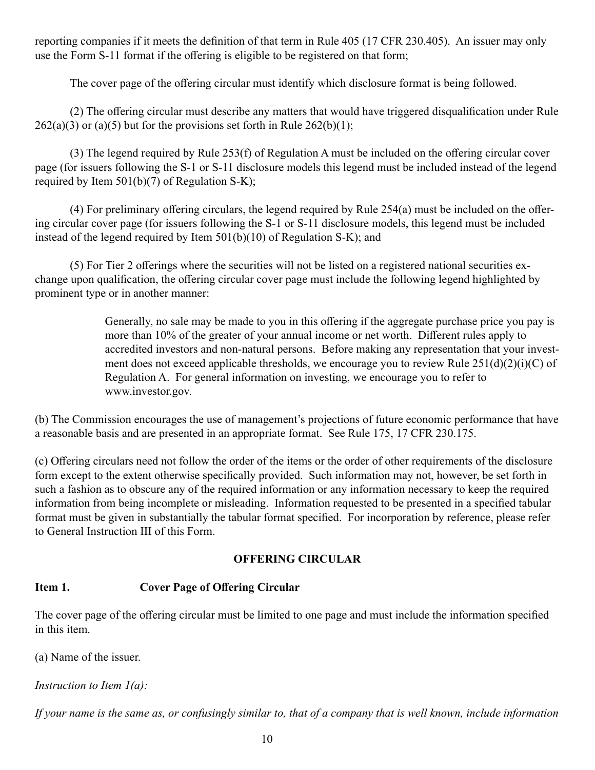reporting companies if it meets the definition of that term in Rule 405 (17 CFR 230.405). An issuer may only use the Form S-11 format if the offering is eligible to be registered on that form;

 The cover page of the offering circular must identify which disclosure format is being followed.

 (2) The offering circular must describe any matters that would have triggered disqualification under Rule  $262(a)(3)$  or (a)(5) but for the provisions set forth in Rule  $262(b)(1)$ ;

 (3) The legend required by Rule 253(f) of Regulation A must be included on the offering circular cover page (for issuers following the S-1 or S-11 disclosure models this legend must be included instead of the legend required by Item 501(b)(7) of Regulation S-K);

 (4) For preliminary offering circulars, the legend required by Rule 254(a) must be included on the offering circular cover page (for issuers following the S-1 or S-11 disclosure models, this legend must be included instead of the legend required by Item 501(b)(10) of Regulation S-K); and

 (5) For Tier 2 offerings where the securities will not be listed on a registered national securities exchange upon qualification, the offering circular cover page must include the following legend highlighted by prominent type or in another manner:

> Generally, no sale may be made to you in this offering if the aggregate purchase price you pay is more than 10% of the greater of your annual income or net worth. Different rules apply to accredited investors and non-natural persons. Before making any representation that your invest ment does not exceed applicable thresholds, we encourage you to review Rule  $251(d)(2)(i)(C)$  of Regulation A. For general information on investing, we encourage you to refer to www.investor.gov.

(b) The Commission encourages the use of management's projections of future economic performance that have a reasonable basis and are presented in an appropriate format. See Rule 175, 17 CFR 230.175.

(c) Offering circulars need not follow the order of the items or the order of other requirements of the disclosure form except to the extent otherwise specifically provided. Such information may not, however, be set forth in such a fashion as to obscure any of the required information or any information necessary to keep the required information from being incomplete or misleading. Information requested to be presented in a specified tabular format must be given in substantially the tabular format specified. For incorporation by reference, please refer to General Instruction III of this Form.

### **OFFERING CIRCULAR**

### **Item 1. Cover Page of Offering Circular**

The cover page of the offering circular must be limited to one page and must include the information specified in this item.

(a) Name of the issuer.

*Instruction to Item 1(a):*

*If your name is the same as, or confusingly similar to, that of a company that is well known, include information*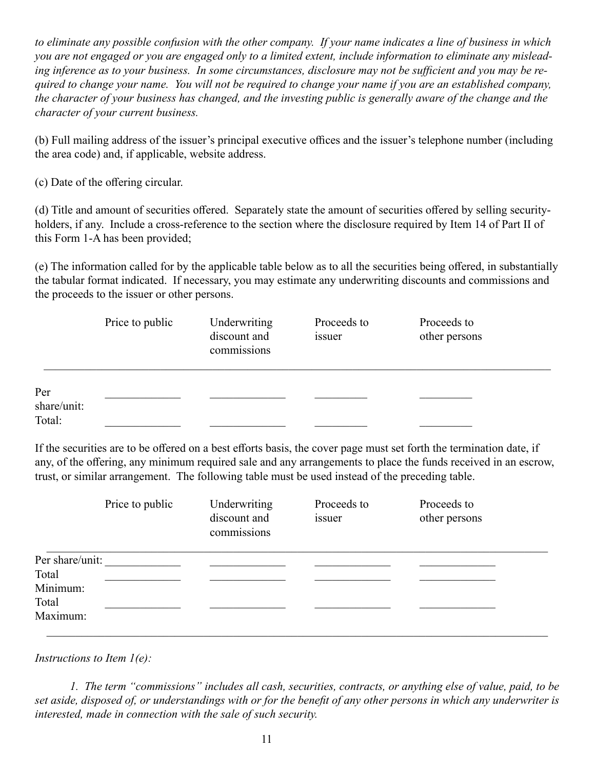*to eliminate any possible confusion with the other company. If your name indicates a line of business in which you are not engaged or you are engaged only to a limited extent, include information to eliminate any misleading inference as to your business. In some circumstances, disclosure may not be sufficient and you may be required to change your name. You will not be required to change your name if you are an established company, the character of your business has changed, and the investing public is generally aware of the change and the character of your current business.*

(b) Full mailing address of the issuer's principal executive offices and the issuer's telephone number (including the area code) and, if applicable, website address.

(c) Date of the offering circular.

(d) Title and amount of securities offered. Separately state the amount of securities offered by selling securityholders, if any. Include a cross-reference to the section where the disclosure required by Item 14 of Part II of this Form 1-A has been provided;

(e) The information called for by the applicable table below as to all the securities being offered, in substantially the tabular format indicated. If necessary, you may estimate any underwriting discounts and commissions and the proceeds to the issuer or other persons.

|                              | Price to public | Underwriting<br>discount and<br>commissions | Proceeds to<br><i>ssuer</i> | Proceeds to<br>other persons |  |
|------------------------------|-----------------|---------------------------------------------|-----------------------------|------------------------------|--|
| Per<br>share/unit:<br>Total: |                 |                                             |                             |                              |  |

If the securities are to be offered on a best efforts basis, the cover page must set forth the termination date, if any, of the offering, any minimum required sale and any arrangements to place the funds received in an escrow, trust, or similar arrangement. The following table must be used instead of the preceding table.

|                 | Price to public | Underwriting<br>discount and<br>commissions | Proceeds to<br><i>ssuer</i> | Proceeds to<br>other persons |
|-----------------|-----------------|---------------------------------------------|-----------------------------|------------------------------|
| Per share/unit: |                 |                                             |                             |                              |
| Total           |                 |                                             |                             |                              |
| Minimum:        |                 |                                             |                             |                              |
| Total           |                 |                                             |                             |                              |
| Maximum:        |                 |                                             |                             |                              |

*Instructions to Item 1(e):*

*1. The term "commissions" includes all cash, securities, contracts, or anything else of value, paid, to be set aside, disposed of, or understandings with or for the benefit of any other persons in which any underwriter is interested, made in connection with the sale of such security.*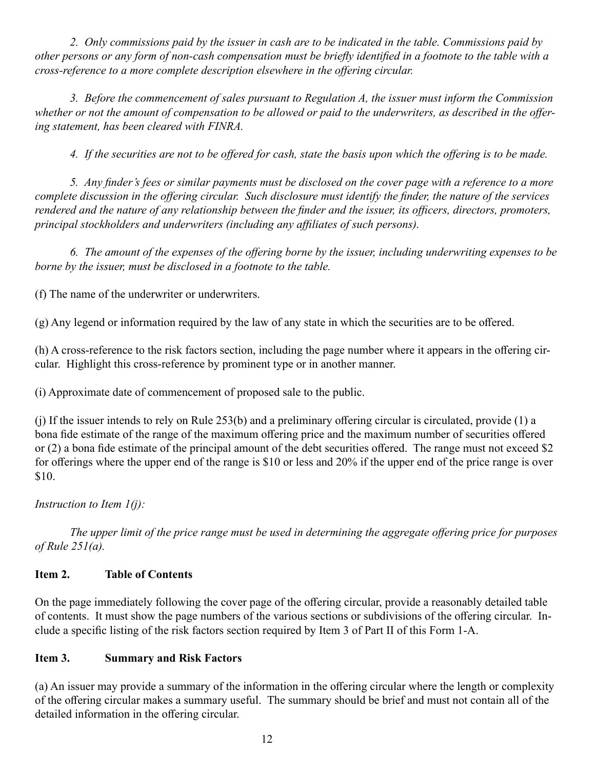*2. Only commissions paid by the issuer in cash are to be indicated in the table. Commissions paid by other persons or any form of non-cash compensation must be briefly identified in a footnote to the table with a cross-reference to a more complete description elsewhere in the offering circular.*

*3. Before the commencement of sales pursuant to Regulation A, the issuer must inform the Commission whether or not the amount of compensation to be allowed or paid to the underwriters, as described in the offering statement, has been cleared with FINRA.*

*4. If the securities are not to be offered for cash, state the basis upon which the offering is to be made.*

*5. Any finder's fees or similar payments must be disclosed on the cover page with a reference to a more complete discussion in the offering circular. Such disclosure must identify the finder, the nature of the services rendered and the nature of any relationship between the finder and the issuer, its officers, directors, promoters, principal stockholders and underwriters (including any affiliates of such persons).*

*6. The amount of the expenses of the offering borne by the issuer, including underwriting expenses to be borne by the issuer, must be disclosed in a footnote to the table.*

(f) The name of the underwriter or underwriters.

(g) Any legend or information required by the law of any state in which the securities are to be offered.

(h) A cross-reference to the risk factors section, including the page number where it appears in the offering circular. Highlight this cross-reference by prominent type or in another manner.

(i) Approximate date of commencement of proposed sale to the public.

(j) If the issuer intends to rely on Rule 253(b) and a preliminary offering circular is circulated, provide (1) a bona fide estimate of the range of the maximum offering price and the maximum number of securities offered or (2) a bona fide estimate of the principal amount of the debt securities offered. The range must not exceed \$2 for offerings where the upper end of the range is \$10 or less and 20% if the upper end of the price range is over \$10.

*Instruction to Item 1(j):*

*The upper limit of the price range must be used in determining the aggregate offering price for purposes of Rule 251(a).*

# **Item 2. Table of Contents**

On the page immediately following the cover page of the offering circular, provide a reasonably detailed table of contents. It must show the page numbers of the various sections or subdivisions of the offering circular. Include a specific listing of the risk factors section required by Item 3 of Part II of this Form 1-A.

## **Item 3. Summary and Risk Factors**

(a) An issuer may provide a summary of the information in the offering circular where the length or complexity of the offering circular makes a summary useful. The summary should be brief and must not contain all of the detailed information in the offering circular.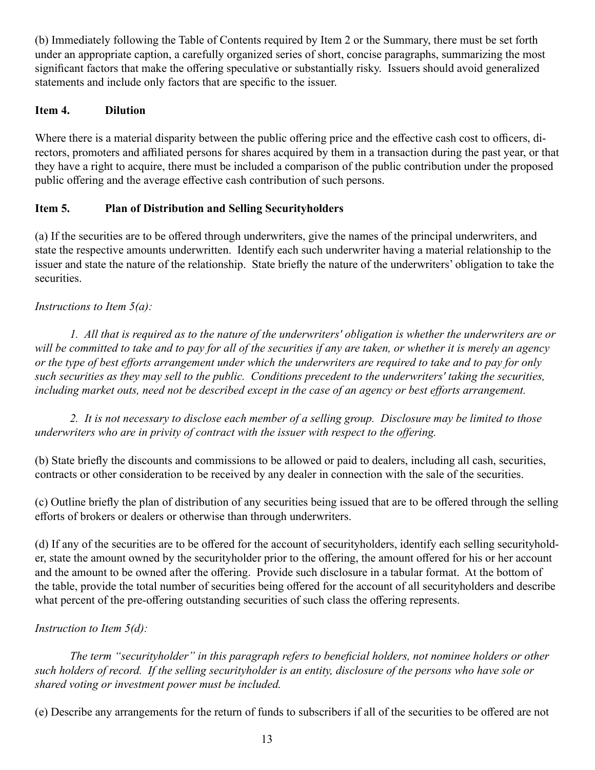(b) Immediately following the Table of Contents required by Item 2 or the Summary, there must be set forth under an appropriate caption, a carefully organized series of short, concise paragraphs, summarizing the most significant factors that make the offering speculative or substantially risky. Issuers should avoid generalized statements and include only factors that are specific to the issuer.

## **Item 4. Dilution**

Where there is a material disparity between the public offering price and the effective cash cost to officers, directors, promoters and affiliated persons for shares acquired by them in a transaction during the past year, or that they have a right to acquire, there must be included a comparison of the public contribution under the proposed public offering and the average effective cash contribution of such persons.

## **Item 5. Plan of Distribution and Selling Securityholders**

(a) If the securities are to be offered through underwriters, give the names of the principal underwriters, and state the respective amounts underwritten. Identify each such underwriter having a material relationship to the issuer and state the nature of the relationship. State briefly the nature of the underwriters' obligation to take the securities.

## *Instructions to Item 5(a):*

*1. All that is required as to the nature of the underwriters' obligation is whether the underwriters are or will be committed to take and to pay for all of the securities if any are taken, or whether it is merely an agency or the type of best efforts arrangement under which the underwriters are required to take and to pay for only such securities as they may sell to the public. Conditions precedent to the underwriters' taking the securities, including market outs, need not be described except in the case of an agency or best efforts arrangement.*

*2. It is not necessary to disclose each member of a selling group. Disclosure may be limited to those underwriters who are in privity of contract with the issuer with respect to the offering.* 

(b) State briefly the discounts and commissions to be allowed or paid to dealers, including all cash, securities, contracts or other consideration to be received by any dealer in connection with the sale of the securities.

(c) Outline briefly the plan of distribution of any securities being issued that are to be offered through the selling efforts of brokers or dealers or otherwise than through underwriters.

(d) If any of the securities are to be offered for the account of securityholders, identify each selling securityholder, state the amount owned by the securityholder prior to the offering, the amount offered for his or her account and the amount to be owned after the offering. Provide such disclosure in a tabular format. At the bottom of the table, provide the total number of securities being offered for the account of all securityholders and describe what percent of the pre-offering outstanding securities of such class the offering represents.

### *Instruction to Item 5(d):*

*The term "securityholder" in this paragraph refers to beneficial holders, not nominee holders or other such holders of record. If the selling securityholder is an entity, disclosure of the persons who have sole or shared voting or investment power must be included.*

(e) Describe any arrangements for the return of funds to subscribers if all of the securities to be offered are not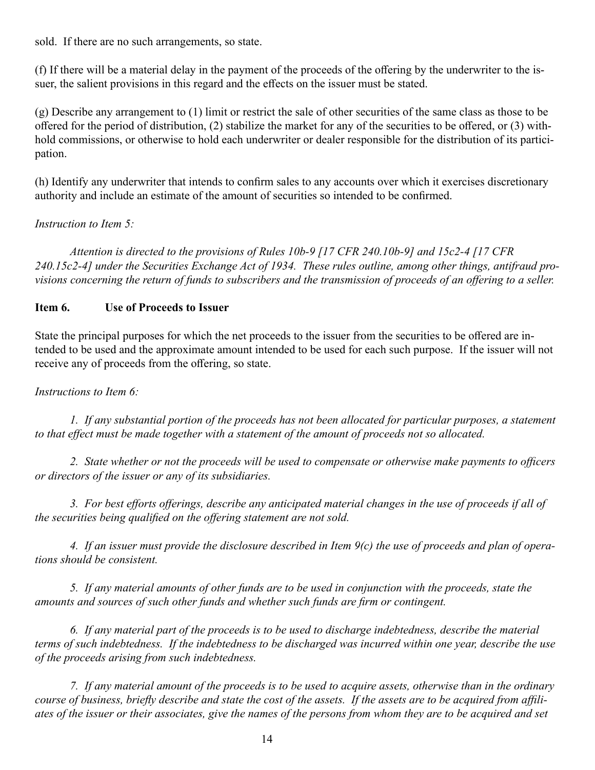sold. If there are no such arrangements, so state.

(f) If there will be a material delay in the payment of the proceeds of the offering by the underwriter to the issuer, the salient provisions in this regard and the effects on the issuer must be stated.

(g) Describe any arrangement to (1) limit or restrict the sale of other securities of the same class as those to be offered for the period of distribution, (2) stabilize the market for any of the securities to be offered, or (3) withhold commissions, or otherwise to hold each underwriter or dealer responsible for the distribution of its participation.

(h) Identify any underwriter that intends to confirm sales to any accounts over which it exercises discretionary authority and include an estimate of the amount of securities so intended to be confirmed.

*Instruction to Item 5:*

*Attention is directed to the provisions of Rules 10b-9 [17 CFR 240.10b-9] and 15c2-4 [17 CFR 240.15c2-4] under the Securities Exchange Act of 1934. These rules outline, among other things, antifraud provisions concerning the return of funds to subscribers and the transmission of proceeds of an offering to a seller.*

#### **Item 6. Use of Proceeds to Issuer**

State the principal purposes for which the net proceeds to the issuer from the securities to be offered are intended to be used and the approximate amount intended to be used for each such purpose. If the issuer will not receive any of proceeds from the offering, so state.

#### *Instructions to Item 6:*

*1. If any substantial portion of the proceeds has not been allocated for particular purposes, a statement to that effect must be made together with a statement of the amount of proceeds not so allocated.*

*2. State whether or not the proceeds will be used to compensate or otherwise make payments to officers or directors of the issuer or any of its subsidiaries.*

*3. For best efforts offerings, describe any anticipated material changes in the use of proceeds if all of the securities being qualified on the offering statement are not sold.* 

*4. If an issuer must provide the disclosure described in Item 9(c) the use of proceeds and plan of operations should be consistent.*

*5. If any material amounts of other funds are to be used in conjunction with the proceeds, state the amounts and sources of such other funds and whether such funds are firm or contingent.*

*6. If any material part of the proceeds is to be used to discharge indebtedness, describe the material terms of such indebtedness. If the indebtedness to be discharged was incurred within one year, describe the use of the proceeds arising from such indebtedness.*

*7. If any material amount of the proceeds is to be used to acquire assets, otherwise than in the ordinary course of business, briefly describe and state the cost of the assets. If the assets are to be acquired from affiliates of the issuer or their associates, give the names of the persons from whom they are to be acquired and set*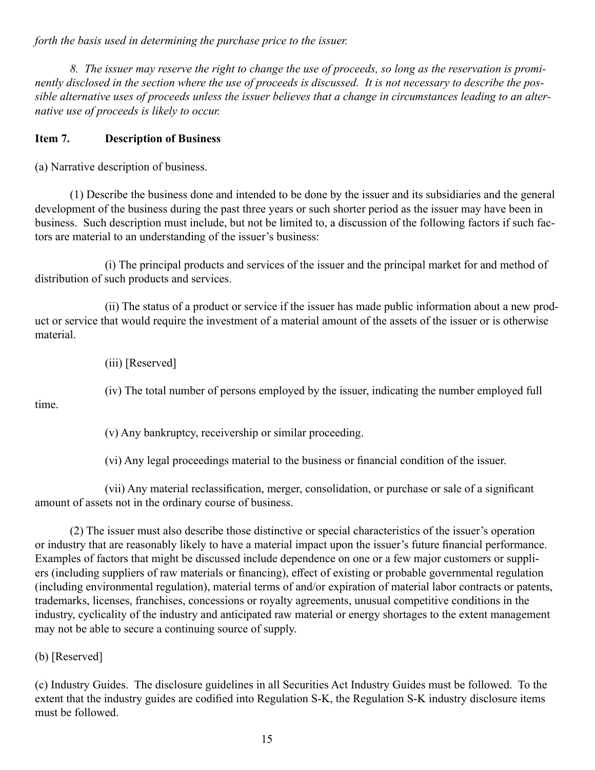*forth the basis used in determining the purchase price to the issuer.*

*8. The issuer may reserve the right to change the use of proceeds, so long as the reservation is prominently disclosed in the section where the use of proceeds is discussed. It is not necessary to describe the possible alternative uses of proceeds unless the issuer believes that a change in circumstances leading to an alternative use of proceeds is likely to occur.*

#### **Item 7. Description of Business**

(a) Narrative description of business.

 (1) Describe the business done and intended to be done by the issuer and its subsidiaries and the general development of the business during the past three years or such shorter period as the issuer may have been in business. Such description must include, but not be limited to, a discussion of the following factors if such factors are material to an understanding of the issuer's business:

 (i) The principal products and services of the issuer and the principal market for and method of distribution of such products and services.

 (ii) The status of a product or service if the issuer has made public information about a new product or service that would require the investment of a material amount of the assets of the issuer or is otherwise material.

 (iii) [Reserved]

time.

 (iv) The total number of persons employed by the issuer, indicating the number employed full

 (v) Any bankruptcy, receivership or similar proceeding.

 (vi) Any legal proceedings material to the business or financial condition of the issuer.

 (vii) Any material reclassification, merger, consolidation, or purchase or sale of a significant amount of assets not in the ordinary course of business.

 (2) The issuer must also describe those distinctive or special characteristics of the issuer's operation or industry that are reasonably likely to have a material impact upon the issuer's future financial performance. Examples of factors that might be discussed include dependence on one or a few major customers or suppliers (including suppliers of raw materials or financing), effect of existing or probable governmental regulation (including environmental regulation), material terms of and/or expiration of material labor contracts or patents, trademarks, licenses, franchises, concessions or royalty agreements, unusual competitive conditions in the industry, cyclicality of the industry and anticipated raw material or energy shortages to the extent management may not be able to secure a continuing source of supply.

### (b) [Reserved]

(c) Industry Guides. The disclosure guidelines in all Securities Act Industry Guides must be followed. To the extent that the industry guides are codified into Regulation S-K, the Regulation S-K industry disclosure items must be followed.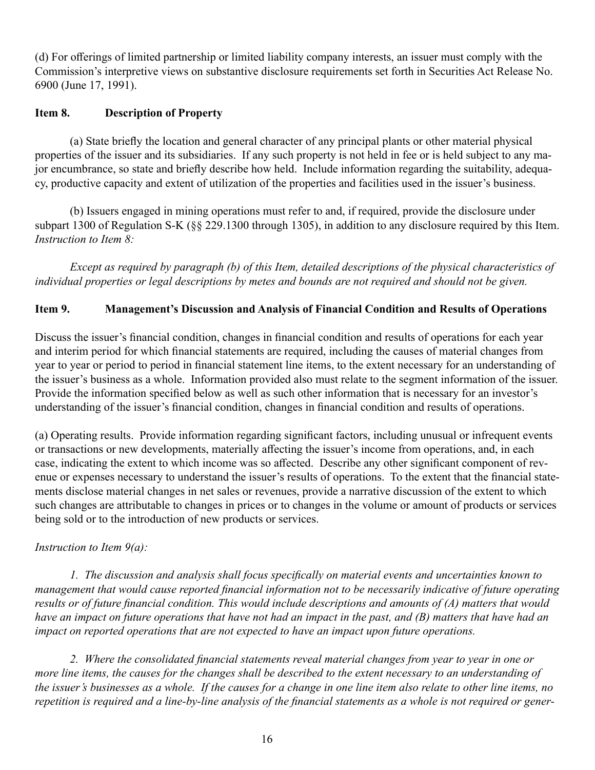(d) For offerings of limited partnership or limited liability company interests, an issuer must comply with the Commission's interpretive views on substantive disclosure requirements set forth in Securities Act Release No. 6900 (June 17, 1991).

## **Item 8. Description of Property**

 (a) State briefly the location and general character of any principal plants or other material physical properties of the issuer and its subsidiaries. If any such property is not held in fee or is held subject to any major encumbrance, so state and briefly describe how held. Include information regarding the suitability, adequacy, productive capacity and extent of utilization of the properties and facilities used in the issuer's business.

 (b) Issuers engaged in mining operations must refer to and, if required, provide the disclosure under subpart 1300 of Regulation S-K (§§ 229.1300 through 1305), in addition to any disclosure required by this Item. *Instruction to Item 8:*

*Except as required by paragraph (b) of this Item, detailed descriptions of the physical characteristics of individual properties or legal descriptions by metes and bounds are not required and should not be given.*

## **Item 9. Management's Discussion and Analysis of Financial Condition and Results of Operations**

Discuss the issuer's financial condition, changes in financial condition and results of operations for each year and interim period for which financial statements are required, including the causes of material changes from year to year or period to period in financial statement line items, to the extent necessary for an understanding of the issuer's business as a whole. Information provided also must relate to the segment information of the issuer. Provide the information specified below as well as such other information that is necessary for an investor's understanding of the issuer's financial condition, changes in financial condition and results of operations.

(a) Operating results. Provide information regarding significant factors, including unusual or infrequent events or transactions or new developments, materially affecting the issuer's income from operations, and, in each case, indicating the extent to which income was so affected. Describe any other significant component of revenue or expenses necessary to understand the issuer's results of operations. To the extent that the financial statements disclose material changes in net sales or revenues, provide a narrative discussion of the extent to which such changes are attributable to changes in prices or to changes in the volume or amount of products or services being sold or to the introduction of new products or services.

### *Instruction to Item 9(a):*

*1. The discussion and analysis shall focus specifically on material events and uncertainties known to management that would cause reported financial information not to be necessarily indicative of future operating results or of future financial condition. This would include descriptions and amounts of (A) matters that would have an impact on future operations that have not had an impact in the past, and (B) matters that have had an impact on reported operations that are not expected to have an impact upon future operations.*

*2. Where the consolidated financial statements reveal material changes from year to year in one or more line items, the causes for the changes shall be described to the extent necessary to an understanding of the issuer's businesses as a whole. If the causes for a change in one line item also relate to other line items, no repetition is required and a line-by-line analysis of the financial statements as a whole is not required or gener-*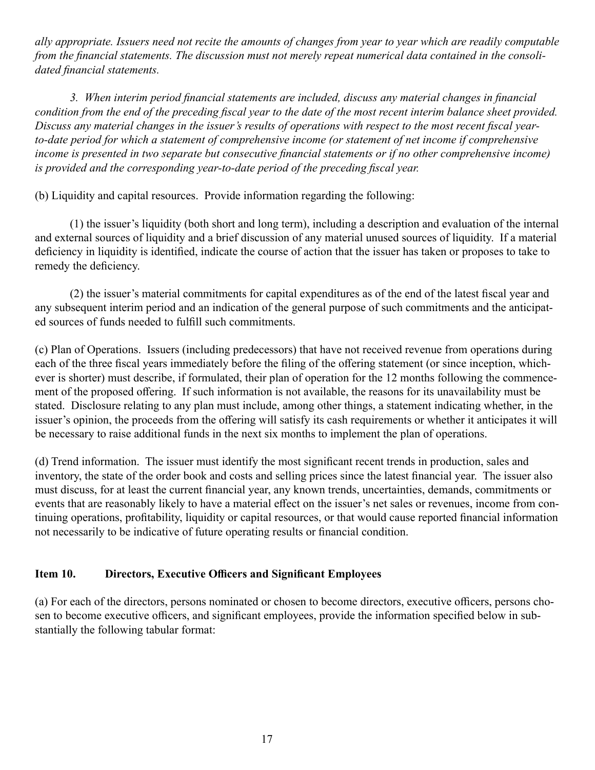*ally appropriate. Issuers need not recite the amounts of changes from year to year which are readily computable from the financial statements. The discussion must not merely repeat numerical data contained in the consolidated financial statements.*

*3. When interim period financial statements are included, discuss any material changes in financial condition from the end of the preceding fiscal year to the date of the most recent interim balance sheet provided. Discuss any material changes in the issuer's results of operations with respect to the most recent fiscal yearto-date period for which a statement of comprehensive income (or statement of net income if comprehensive income is presented in two separate but consecutive financial statements or if no other comprehensive income) is provided and the corresponding year-to-date period of the preceding fiscal year.*

(b) Liquidity and capital resources. Provide information regarding the following:

 (1) the issuer's liquidity (both short and long term), including a description and evaluation of the internal and external sources of liquidity and a brief discussion of any material unused sources of liquidity. If a material deficiency in liquidity is identified, indicate the course of action that the issuer has taken or proposes to take to remedy the deficiency.

 (2) the issuer's material commitments for capital expenditures as of the end of the latest fiscal year and any subsequent interim period and an indication of the general purpose of such commitments and the anticipated sources of funds needed to fulfill such commitments.

(c) Plan of Operations. Issuers (including predecessors) that have not received revenue from operations during each of the three fiscal years immediately before the filing of the offering statement (or since inception, whichever is shorter) must describe, if formulated, their plan of operation for the 12 months following the commencement of the proposed offering. If such information is not available, the reasons for its unavailability must be stated. Disclosure relating to any plan must include, among other things, a statement indicating whether, in the issuer's opinion, the proceeds from the offering will satisfy its cash requirements or whether it anticipates it will be necessary to raise additional funds in the next six months to implement the plan of operations.

(d) Trend information. The issuer must identify the most significant recent trends in production, sales and inventory, the state of the order book and costs and selling prices since the latest financial year. The issuer also must discuss, for at least the current financial year, any known trends, uncertainties, demands, commitments or events that are reasonably likely to have a material effect on the issuer's net sales or revenues, income from continuing operations, profitability, liquidity or capital resources, or that would cause reported financial information not necessarily to be indicative of future operating results or financial condition.

## **Item 10. Directors, Executive Officers and Significant Employees**

(a) For each of the directors, persons nominated or chosen to become directors, executive officers, persons chosen to become executive officers, and significant employees, provide the information specified below in substantially the following tabular format: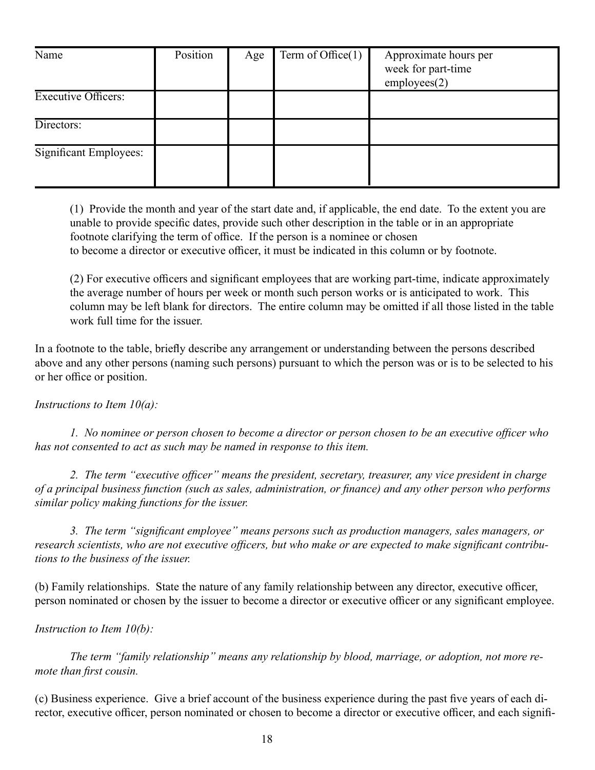| Name                          | Position | Age | Term of Office $(1)$ | Approximate hours per<br>week for part-time<br>employes(2) |
|-------------------------------|----------|-----|----------------------|------------------------------------------------------------|
| <b>Executive Officers:</b>    |          |     |                      |                                                            |
| Directors:                    |          |     |                      |                                                            |
| <b>Significant Employees:</b> |          |     |                      |                                                            |

 (1) Provide the month and year of the start date and, if applicable, the end date. To the extent you are unable to provide specific dates, provide such other description in the table or in an appropriate footnote clarifying the term of office. If the person is a nominee or chosen to become a director or executive officer, it must be indicated in this column or by footnote.

 (2) For executive officers and significant employees that are working part-time, indicate approximately the average number of hours per week or month such person works or is anticipated to work. This column may be left blank for directors. The entire column may be omitted if all those listed in the table work full time for the issuer.

In a footnote to the table, briefly describe any arrangement or understanding between the persons described above and any other persons (naming such persons) pursuant to which the person was or is to be selected to his or her office or position.

*Instructions to Item 10(a):*

*1. No nominee or person chosen to become a director or person chosen to be an executive officer who has not consented to act as such may be named in response to this item.*

*2. The term "executive officer" means the president, secretary, treasurer, any vice president in charge of a principal business function (such as sales, administration, or finance) and any other person who performs similar policy making functions for the issuer.*

*3. The term "significant employee" means persons such as production managers, sales managers, or research scientists, who are not executive officers, but who make or are expected to make significant contributions to the business of the issuer.*

(b) Family relationships. State the nature of any family relationship between any director, executive officer, person nominated or chosen by the issuer to become a director or executive officer or any significant employee.

*Instruction to Item 10(b):*

*The term "family relationship" means any relationship by blood, marriage, or adoption, not more remote than first cousin.*

(c) Business experience. Give a brief account of the business experience during the past five years of each director, executive officer, person nominated or chosen to become a director or executive officer, and each signifi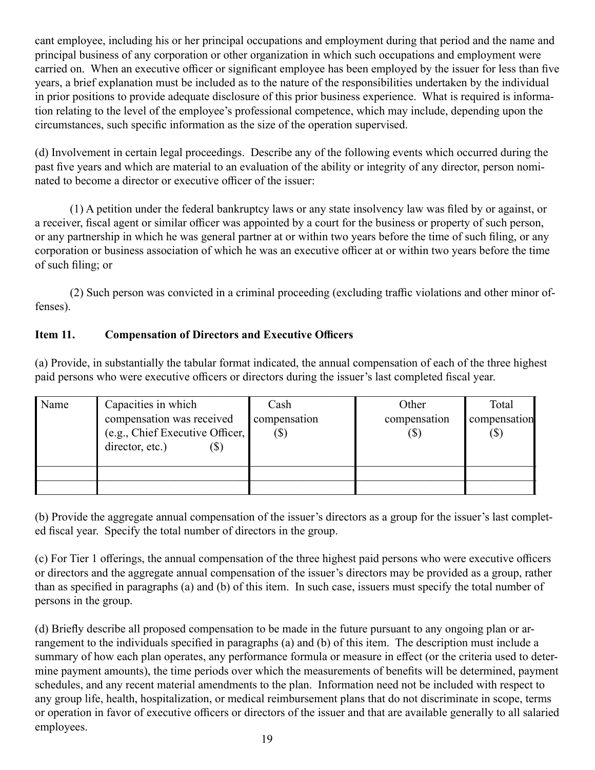cant employee, including his or her principal occupations and employment during that period and the name and principal business of any corporation or other organization in which such occupations and employment were carried on. When an executive officer or significant employee has been employed by the issuer for less than five years, a brief explanation must be included as to the nature of the responsibilities undertaken by the individual in prior positions to provide adequate disclosure of this prior business experience. What is required is information relating to the level of the employee's professional competence, which may include, depending upon the circumstances, such specific information as the size of the operation supervised.

(d) Involvement in certain legal proceedings. Describe any of the following events which occurred during the past five years and which are material to an evaluation of the ability or integrity of any director, person nominated to become a director or executive officer of the issuer:

 (1) A petition under the federal bankruptcy laws or any state insolvency law was filed by or against, or a receiver, fiscal agent or similar officer was appointed by a court for the business or property of such person, or any partnership in which he was general partner at or within two years before the time of such filing, or any corporation or business association of which he was an executive officer at or within two years before the time of such filing; or

 (2) Such person was convicted in a criminal proceeding (excluding traffic violations and other minor offenses).

# **Item 11. Compensation of Directors and Executive Officers**

(a) Provide, in substantially the tabular format indicated, the annual compensation of each of the three highest paid persons who were executive officers or directors during the issuer's last completed fiscal year.

| Name | Capacities in which             | Cash         | Other        | Total        |
|------|---------------------------------|--------------|--------------|--------------|
|      | compensation was received       | compensation | compensation | compensation |
|      | (e.g., Chief Executive Officer, | (\$`         | $\downarrow$ | (P           |
|      | director, etc.)                 |              |              |              |
|      |                                 |              |              |              |
|      |                                 |              |              |              |
|      |                                 |              |              |              |

(b) Provide the aggregate annual compensation of the issuer's directors as a group for the issuer's last completed fiscal year. Specify the total number of directors in the group.

(c) For Tier 1 offerings, the annual compensation of the three highest paid persons who were executive officers or directors and the aggregate annual compensation of the issuer's directors may be provided as a group, rather than as specified in paragraphs (a) and (b) of this item. In such case, issuers must specify the total number of persons in the group.

(d) Briefly describe all proposed compensation to be made in the future pursuant to any ongoing plan or arrangement to the individuals specified in paragraphs (a) and (b) of this item. The description must include a summary of how each plan operates, any performance formula or measure in effect (or the criteria used to determine payment amounts), the time periods over which the measurements of benefits will be determined, payment schedules, and any recent material amendments to the plan. Information need not be included with respect to any group life, health, hospitalization, or medical reimbursement plans that do not discriminate in scope, terms or operation in favor of executive officers or directors of the issuer and that are available generally to all salaried employees.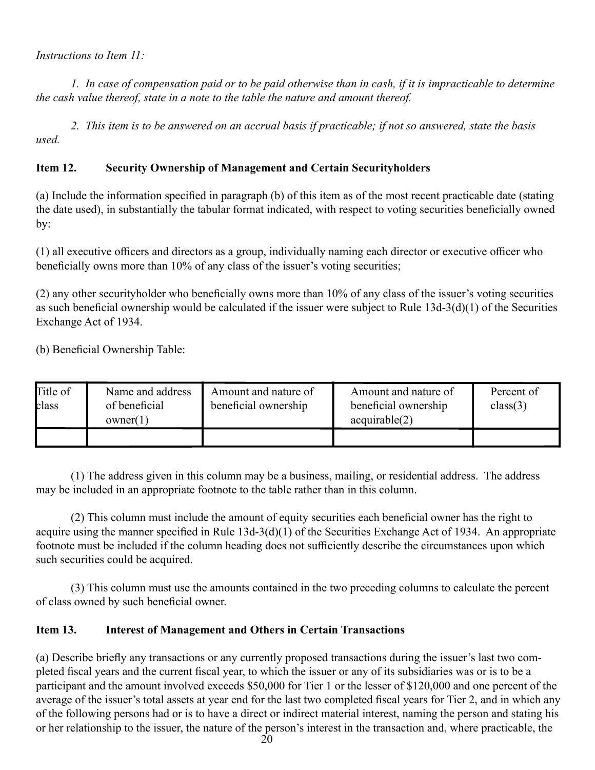*Instructions to Item 11:*

*1. In case of compensation paid or to be paid otherwise than in cash, if it is impracticable to determine the cash value thereof, state in a note to the table the nature and amount thereof.*

*2. This item is to be answered on an accrual basis if practicable; if not so answered, state the basis used.*

## **Item 12. Security Ownership of Management and Certain Securityholders**

(a) Include the information specified in paragraph (b) of this item as of the most recent practicable date (stating the date used), in substantially the tabular format indicated, with respect to voting securities beneficially owned by:

(1) all executive officers and directors as a group, individually naming each director or executive officer who beneficially owns more than 10% of any class of the issuer's voting securities;

(2) any other securityholder who beneficially owns more than 10% of any class of the issuer's voting securities as such beneficial ownership would be calculated if the issuer were subject to Rule 13d-3(d)(1) of the Securities Exchange Act of 1934.

(b) Beneficial Ownership Table:

| Title of<br>class | Name and address<br>of beneficial<br>owner(1) | Amount and nature of<br>beneficial ownership | Amount and nature of<br>beneficial ownership<br>acquirable(2) | Percent of<br>class(3) |
|-------------------|-----------------------------------------------|----------------------------------------------|---------------------------------------------------------------|------------------------|
|                   |                                               |                                              |                                                               |                        |

 (1) The address given in this column may be a business, mailing, or residential address. The address may be included in an appropriate footnote to the table rather than in this column.

 (2) This column must include the amount of equity securities each beneficial owner has the right to acquire using the manner specified in Rule 13d-3(d)(1) of the Securities Exchange Act of 1934. An appropriate footnote must be included if the column heading does not sufficiently describe the circumstances upon which such securities could be acquired.

 (3) This column must use the amounts contained in the two preceding columns to calculate the percent of class owned by such beneficial owner.

## **Item 13. Interest of Management and Others in Certain Transactions**

(a) Describe briefly any transactions or any currently proposed transactions during the issuer's last two completed fiscal years and the current fiscal year, to which the issuer or any of its subsidiaries was or is to be a participant and the amount involved exceeds \$50,000 for Tier 1 or the lesser of \$120,000 and one percent of the average of the issuer's total assets at year end for the last two completed fiscal years for Tier 2, and in which any of the following persons had or is to have a direct or indirect material interest, naming the person and stating his or her relationship to the issuer, the nature of the person's interest in the transaction and, where practicable, the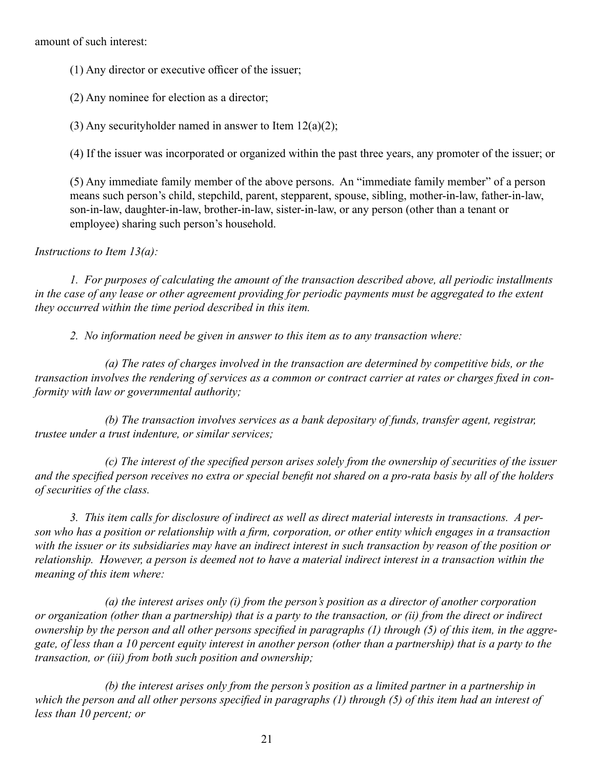amount of such interest:

 (1) Any director or executive officer of the issuer;

 (2) Any nominee for election as a director;

(3) Any securityholder named in answer to Item  $12(a)(2)$ ;

 (4) If the issuer was incorporated or organized within the past three years, any promoter of the issuer; or

 (5) Any immediate family member of the above persons. An "immediate family member" of a person means such person's child, stepchild, parent, stepparent, spouse, sibling, mother-in-law, father-in-law, son-in-law, daughter-in-law, brother-in-law, sister-in-law, or any person (other than a tenant or employee) sharing such person's household.

*Instructions to Item 13(a):*

*1. For purposes of calculating the amount of the transaction described above, all periodic installments*  in the case of any lease or other agreement providing for periodic payments must be aggregated to the extent *they occurred within the time period described in this item.*

*2. No information need be given in answer to this item as to any transaction where:*

*(a) The rates of charges involved in the transaction are determined by competitive bids, or the transaction involves the rendering of services as a common or contract carrier at rates or charges fixed in conformity with law or governmental authority;*

*(b) The transaction involves services as a bank depositary of funds, transfer agent, registrar, trustee under a trust indenture, or similar services;*

*(c) The interest of the specified person arises solely from the ownership of securities of the issuer and the specified person receives no extra or special benefit not shared on a pro-rata basis by all of the holders of securities of the class.*

*3. This item calls for disclosure of indirect as well as direct material interests in transactions. A person who has a position or relationship with a firm, corporation, or other entity which engages in a transaction with the issuer or its subsidiaries may have an indirect interest in such transaction by reason of the position or relationship. However, a person is deemed not to have a material indirect interest in a transaction within the meaning of this item where:*

*(a) the interest arises only (i) from the person's position as a director of another corporation or organization (other than a partnership) that is a party to the transaction, or (ii) from the direct or indirect ownership by the person and all other persons specified in paragraphs (1) through (5) of this item, in the aggregate, of less than a 10 percent equity interest in another person (other than a partnership) that is a party to the transaction, or (iii) from both such position and ownership;*

*(b) the interest arises only from the person's position as a limited partner in a partnership in which the person and all other persons specified in paragraphs (1) through (5) of this item had an interest of less than 10 percent; or*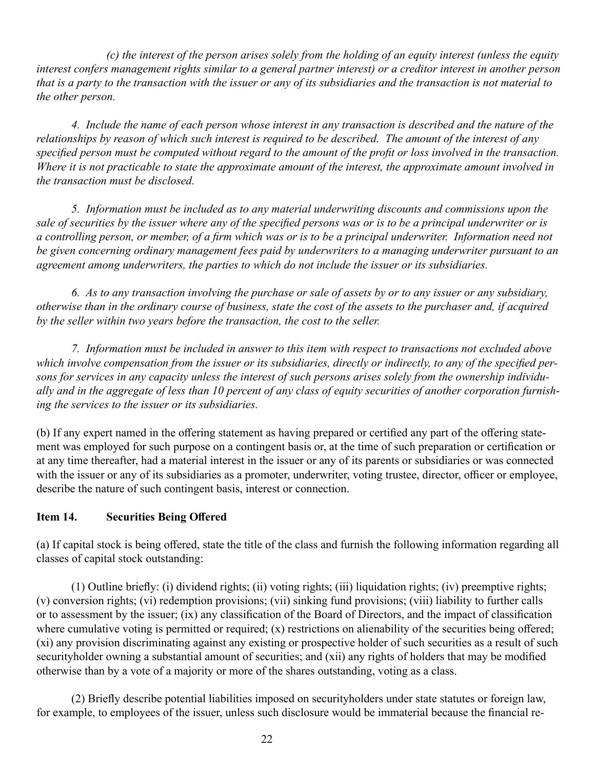*(c) the interest of the person arises solely from the holding of an equity interest (unless the equity interest confers management rights similar to a general partner interest) or a creditor interest in another person that is a party to the transaction with the issuer or any of its subsidiaries and the transaction is not material to the other person.*

*4. Include the name of each person whose interest in any transaction is described and the nature of the relationships by reason of which such interest is required to be described. The amount of the interest of any specified person must be computed without regard to the amount of the profit or loss involved in the transaction. Where it is not practicable to state the approximate amount of the interest, the approximate amount involved in the transaction must be disclosed.*

*5. Information must be included as to any material underwriting discounts and commissions upon the sale of securities by the issuer where any of the specified persons was or is to be a principal underwriter or is a controlling person, or member, of a firm which was or is to be a principal underwriter. Information need not be given concerning ordinary management fees paid by underwriters to a managing underwriter pursuant to an agreement among underwriters, the parties to which do not include the issuer or its subsidiaries.*

*6. As to any transaction involving the purchase or sale of assets by or to any issuer or any subsidiary, otherwise than in the ordinary course of business, state the cost of the assets to the purchaser and, if acquired by the seller within two years before the transaction, the cost to the seller.*

*7. Information must be included in answer to this item with respect to transactions not excluded above which involve compensation from the issuer or its subsidiaries, directly or indirectly, to any of the specified persons for services in any capacity unless the interest of such persons arises solely from the ownership individually and in the aggregate of less than 10 percent of any class of equity securities of another corporation furnishing the services to the issuer or its subsidiaries.*

(b) If any expert named in the offering statement as having prepared or certified any part of the offering statement was employed for such purpose on a contingent basis or, at the time of such preparation or certification or at any time thereafter, had a material interest in the issuer or any of its parents or subsidiaries or was connected with the issuer or any of its subsidiaries as a promoter, underwriter, voting trustee, director, officer or employee, describe the nature of such contingent basis, interest or connection.

## **Item 14. Securities Being Offered**

(a) If capital stock is being offered, state the title of the class and furnish the following information regarding all classes of capital stock outstanding:

(1) Outline briefly: (i) dividend rights; (ii) voting rights; (iii) liquidation rights; (iv) preemptive rights; (v) conversion rights; (vi) redemption provisions; (vii) sinking fund provisions; (viii) liability to further calls or to assessment by the issuer; (ix) any classification of the Board of Directors, and the impact of classification where cumulative voting is permitted or required; (x) restrictions on alienability of the securities being offered; (xi) any provision discriminating against any existing or prospective holder of such securities as a result of such securityholder owning a substantial amount of securities; and (xii) any rights of holders that may be modified otherwise than by a vote of a majority or more of the shares outstanding, voting as a class.

(2) Briefly describe potential liabilities imposed on securityholders under state statutes or foreign law, for example, to employees of the issuer, unless such disclosure would be immaterial because the financial re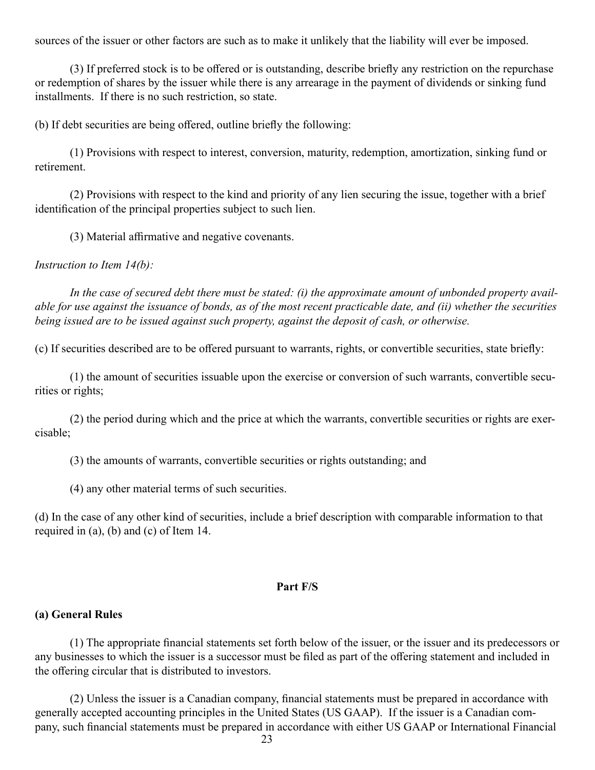sources of the issuer or other factors are such as to make it unlikely that the liability will ever be imposed.

 (3) If preferred stock is to be offered or is outstanding, describe briefly any restriction on the repurchase or redemption of shares by the issuer while there is any arrearage in the payment of dividends or sinking fund installments. If there is no such restriction, so state.

(b) If debt securities are being offered, outline briefly the following:

 (1) Provisions with respect to interest, conversion, maturity, redemption, amortization, sinking fund or retirement.

 (2) Provisions with respect to the kind and priority of any lien securing the issue, together with a brief identification of the principal properties subject to such lien.

 (3) Material affirmative and negative covenants.

*Instruction to Item 14(b):*

*In the case of secured debt there must be stated: (i) the approximate amount of unbonded property available for use against the issuance of bonds, as of the most recent practicable date, and (ii) whether the securities being issued are to be issued against such property, against the deposit of cash, or otherwise.*

(c) If securities described are to be offered pursuant to warrants, rights, or convertible securities, state briefly:

 (1) the amount of securities issuable upon the exercise or conversion of such warrants, convertible securities or rights;

 (2) the period during which and the price at which the warrants, convertible securities or rights are exercisable;

 (3) the amounts of warrants, convertible securities or rights outstanding; and

 (4) any other material terms of such securities.

(d) In the case of any other kind of securities, include a brief description with comparable information to that required in (a), (b) and (c) of Item 14.

#### **Part F/S**

#### **(a) General Rules**

 (1) The appropriate financial statements set forth below of the issuer, or the issuer and its predecessors or any businesses to which the issuer is a successor must be filed as part of the offering statement and included in the offering circular that is distributed to investors.

 (2) Unless the issuer is a Canadian company, financial statements must be prepared in accordance with generally accepted accounting principles in the United States (US GAAP). If the issuer is a Canadian company, such financial statements must be prepared in accordance with either US GAAP or International Financial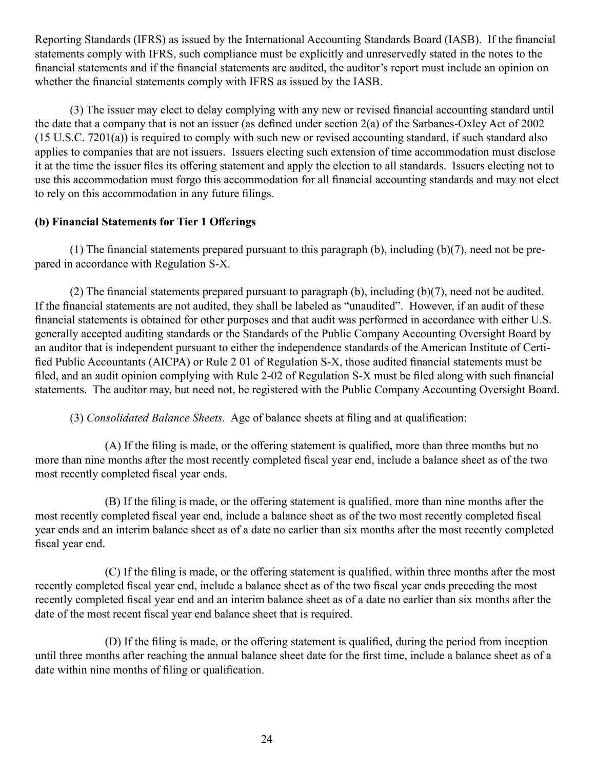Reporting Standards (IFRS) as issued by the International Accounting Standards Board (IASB). If the financial statements comply with IFRS, such compliance must be explicitly and unreservedly stated in the notes to the financial statements and if the financial statements are audited, the auditor's report must include an opinion on whether the financial statements comply with IFRS as issued by the IASB.

 (3) The issuer may elect to delay complying with any new or revised financial accounting standard until the date that a company that is not an issuer (as defined under section 2(a) of the Sarbanes-Oxley Act of 2002 (15 U.S.C. 7201(a)) is required to comply with such new or revised accounting standard, if such standard also applies to companies that are not issuers. Issuers electing such extension of time accommodation must disclose it at the time the issuer files its offering statement and apply the election to all standards. Issuers electing not to use this accommodation must forgo this accommodation for all financial accounting standards and may not elect to rely on this accommodation in any future filings.

### **(b) Financial Statements for Tier 1 Offerings**

 (1) The financial statements prepared pursuant to this paragraph (b), including (b)(7), need not be prepared in accordance with Regulation S-X.

 (2) The financial statements prepared pursuant to paragraph (b), including (b)(7), need not be audited. If the financial statements are not audited, they shall be labeled as "unaudited". However, if an audit of these financial statements is obtained for other purposes and that audit was performed in accordance with either U.S. generally accepted auditing standards or the Standards of the Public Company Accounting Oversight Board by an auditor that is independent pursuant to either the independence standards of the American Institute of Certified Public Accountants (AICPA) or Rule 2 01 of Regulation S-X, those audited financial statements must be filed, and an audit opinion complying with Rule 2-02 of Regulation S-X must be filed along with such financial statements. The auditor may, but need not, be registered with the Public Company Accounting Oversight Board.

 (3) *Consolidated Balance Sheets.* Age of balance sheets at filing and at qualification:

 (A) If the filing is made, or the offering statement is qualified, more than three months but no more than nine months after the most recently completed fiscal year end, include a balance sheet as of the two most recently completed fiscal year ends.

 (B) If the filing is made, or the offering statement is qualified, more than nine months after the most recently completed fiscal year end, include a balance sheet as of the two most recently completed fiscal year ends and an interim balance sheet as of a date no earlier than six months after the most recently completed fiscal year end.

 (C) If the filing is made, or the offering statement is qualified, within three months after the most recently completed fiscal year end, include a balance sheet as of the two fiscal year ends preceding the most recently completed fiscal year end and an interim balance sheet as of a date no earlier than six months after the date of the most recent fiscal year end balance sheet that is required.

 (D) If the filing is made, or the offering statement is qualified, during the period from inception until three months after reaching the annual balance sheet date for the first time, include a balance sheet as of a date within nine months of filing or qualification.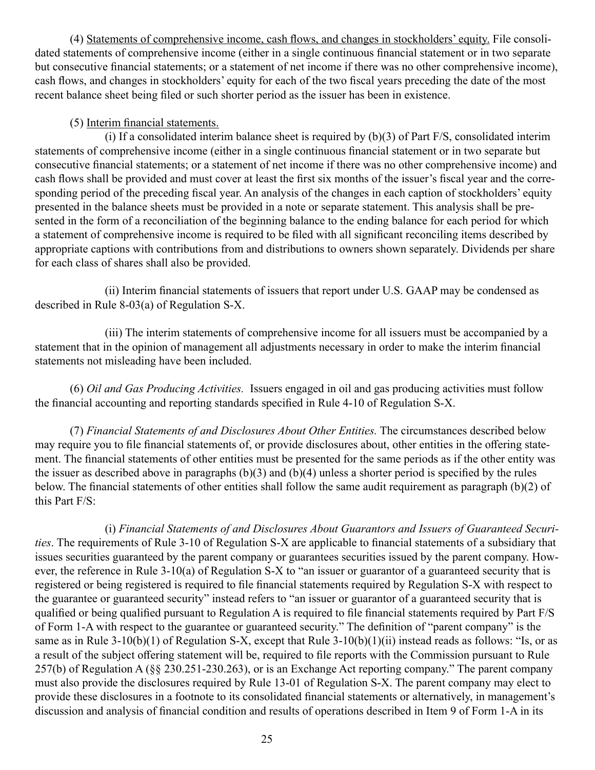(4) Statements of comprehensive income, cash flows, and changes in stockholders' equity. File consolidated statements of comprehensive income (either in a single continuous financial statement or in two separate but consecutive financial statements; or a statement of net income if there was no other comprehensive income), cash flows, and changes in stockholders' equity for each of the two fiscal years preceding the date of the most recent balance sheet being filed or such shorter period as the issuer has been in existence.

#### (5) Interim financial statements.

 (i) If a consolidated interim balance sheet is required by (b)(3) of Part F/S, consolidated interim statements of comprehensive income (either in a single continuous financial statement or in two separate but consecutive financial statements; or a statement of net income if there was no other comprehensive income) and cash flows shall be provided and must cover at least the first six months of the issuer's fiscal year and the corresponding period of the preceding fiscal year. An analysis of the changes in each caption of stockholders' equity presented in the balance sheets must be provided in a note or separate statement. This analysis shall be presented in the form of a reconciliation of the beginning balance to the ending balance for each period for which a statement of comprehensive income is required to be filed with all significant reconciling items described by appropriate captions with contributions from and distributions to owners shown separately. Dividends per share for each class of shares shall also be provided.

 (ii) Interim financial statements of issuers that report under U.S. GAAP may be condensed as described in Rule 8-03(a) of Regulation S-X.

 (iii) The interim statements of comprehensive income for all issuers must be accompanied by a statement that in the opinion of management all adjustments necessary in order to make the interim financial statements not misleading have been included.

 (6) *Oil and Gas Producing Activities.* Issuers engaged in oil and gas producing activities must follow the financial accounting and reporting standards specified in Rule 4-10 of Regulation S-X.

 (7) *Financial Statements of and Disclosures About Other Entities.* The circumstances described below may require you to file financial statements of, or provide disclosures about, other entities in the offering statement. The financial statements of other entities must be presented for the same periods as if the other entity was the issuer as described above in paragraphs (b)(3) and (b)(4) unless a shorter period is specified by the rules below. The financial statements of other entities shall follow the same audit requirement as paragraph (b)(2) of this Part F/S:

 (i) *Financial Statements of and Disclosures About Guarantors and Issuers of Guaranteed Securities*. The requirements of Rule 3-10 of Regulation S-X are applicable to financial statements of a subsidiary that issues securities guaranteed by the parent company or guarantees securities issued by the parent company. However, the reference in Rule 3-10(a) of Regulation S-X to "an issuer or guarantor of a guaranteed security that is registered or being registered is required to file financial statements required by Regulation S-X with respect to the guarantee or guaranteed security" instead refers to "an issuer or guarantor of a guaranteed security that is qualified or being qualified pursuant to Regulation A is required to file financial statements required by Part F/S of Form 1-A with respect to the guarantee or guaranteed security." The definition of "parent company" is the same as in Rule 3-10(b)(1) of Regulation S-X, except that Rule 3-10(b)(1)(ii) instead reads as follows: "Is, or as a result of the subject offering statement will be, required to file reports with the Commission pursuant to Rule 257(b) of Regulation A (§§ 230.251-230.263), or is an Exchange Act reporting company." The parent company must also provide the disclosures required by Rule 13-01 of Regulation S-X. The parent company may elect to provide these disclosures in a footnote to its consolidated financial statements or alternatively, in management's discussion and analysis of financial condition and results of operations described in Item 9 of Form 1-A in its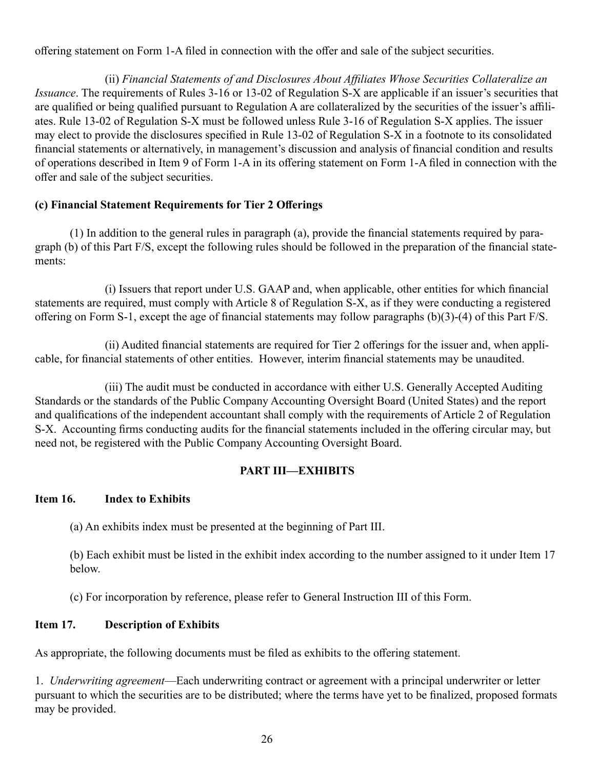offering statement on Form 1-A filed in connection with the offer and sale of the subject securities.

 (ii) *Financial Statements of and Disclosures About Affiliates Whose Securities Collateralize an Issuance*. The requirements of Rules 3-16 or 13-02 of Regulation S-X are applicable if an issuer's securities that are qualified or being qualified pursuant to Regulation A are collateralized by the securities of the issuer's affiliates. Rule 13-02 of Regulation S-X must be followed unless Rule 3-16 of Regulation S-X applies. The issuer may elect to provide the disclosures specified in Rule 13-02 of Regulation S-X in a footnote to its consolidated financial statements or alternatively, in management's discussion and analysis of financial condition and results of operations described in Item 9 of Form 1-A in its offering statement on Form 1-A filed in connection with the offer and sale of the subject securities.

## **(c) Financial Statement Requirements for Tier 2 Offerings**

 (1) In addition to the general rules in paragraph (a), provide the financial statements required by paragraph (b) of this Part F/S, except the following rules should be followed in the preparation of the financial statements:

 (i) Issuers that report under U.S. GAAP and, when applicable, other entities for which financial statements are required, must comply with Article 8 of Regulation S-X, as if they were conducting a registered offering on Form S-1, except the age of financial statements may follow paragraphs (b)(3)-(4) of this Part F/S.

 (ii) Audited financial statements are required for Tier 2 offerings for the issuer and, when applicable, for financial statements of other entities. However, interim financial statements may be unaudited.

 (iii) The audit must be conducted in accordance with either U.S. Generally Accepted Auditing Standards or the standards of the Public Company Accounting Oversight Board (United States) and the report and qualifications of the independent accountant shall comply with the requirements of Article 2 of Regulation S-X. Accounting firms conducting audits for the financial statements included in the offering circular may, but need not, be registered with the Public Company Accounting Oversight Board.

### **PART III—EXHIBITS**

### **Item 16. Index to Exhibits**

 (a) An exhibits index must be presented at the beginning of Part III.

 (b) Each exhibit must be listed in the exhibit index according to the number assigned to it under Item 17 below.

 (c) For incorporation by reference, please refer to General Instruction III of this Form.

## **Item 17. Description of Exhibits**

As appropriate, the following documents must be filed as exhibits to the offering statement.

1. *Underwriting agreement*—Each underwriting contract or agreement with a principal underwriter or letter pursuant to which the securities are to be distributed; where the terms have yet to be finalized, proposed formats may be provided.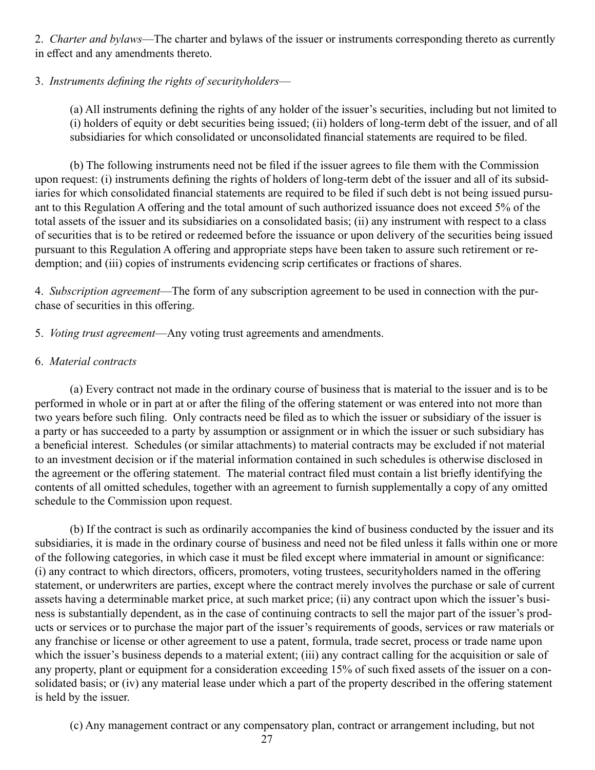2. *Charter and bylaws*—The charter and bylaws of the issuer or instruments corresponding thereto as currently in effect and any amendments thereto.

### 3. *Instruments defining the rights of securityholders*—

 (a) All instruments defining the rights of any holder of the issuer's securities, including but not limited to (i) holders of equity or debt securities being issued; (ii) holders of long-term debt of the issuer, and of all subsidiaries for which consolidated or unconsolidated financial statements are required to be filed.

 (b) The following instruments need not be filed if the issuer agrees to file them with the Commission upon request: (i) instruments defining the rights of holders of long-term debt of the issuer and all of its subsidiaries for which consolidated financial statements are required to be filed if such debt is not being issued pursuant to this Regulation A offering and the total amount of such authorized issuance does not exceed 5% of the total assets of the issuer and its subsidiaries on a consolidated basis; (ii) any instrument with respect to a class of securities that is to be retired or redeemed before the issuance or upon delivery of the securities being issued pursuant to this Regulation A offering and appropriate steps have been taken to assure such retirement or redemption; and (iii) copies of instruments evidencing scrip certificates or fractions of shares.

4. *Subscription agreement*—The form of any subscription agreement to be used in connection with the purchase of securities in this offering.

### 5. *Voting trust agreement*—Any voting trust agreements and amendments.

### 6. *Material contracts*

 (a) Every contract not made in the ordinary course of business that is material to the issuer and is to be performed in whole or in part at or after the filing of the offering statement or was entered into not more than two years before such filing. Only contracts need be filed as to which the issuer or subsidiary of the issuer is a party or has succeeded to a party by assumption or assignment or in which the issuer or such subsidiary has a beneficial interest. Schedules (or similar attachments) to material contracts may be excluded if not material to an investment decision or if the material information contained in such schedules is otherwise disclosed in the agreement or the offering statement. The material contract filed must contain a list briefly identifying the contents of all omitted schedules, together with an agreement to furnish supplementally a copy of any omitted schedule to the Commission upon request.

 (b) If the contract is such as ordinarily accompanies the kind of business conducted by the issuer and its subsidiaries, it is made in the ordinary course of business and need not be filed unless it falls within one or more of the following categories, in which case it must be filed except where immaterial in amount or significance: (i) any contract to which directors, officers, promoters, voting trustees, securityholders named in the offering statement, or underwriters are parties, except where the contract merely involves the purchase or sale of current assets having a determinable market price, at such market price; (ii) any contract upon which the issuer's business is substantially dependent, as in the case of continuing contracts to sell the major part of the issuer's products or services or to purchase the major part of the issuer's requirements of goods, services or raw materials or any franchise or license or other agreement to use a patent, formula, trade secret, process or trade name upon which the issuer's business depends to a material extent; (iii) any contract calling for the acquisition or sale of any property, plant or equipment for a consideration exceeding 15% of such fixed assets of the issuer on a consolidated basis; or (iv) any material lease under which a part of the property described in the offering statement is held by the issuer.

 (c) Any management contract or any compensatory plan, contract or arrangement including, but not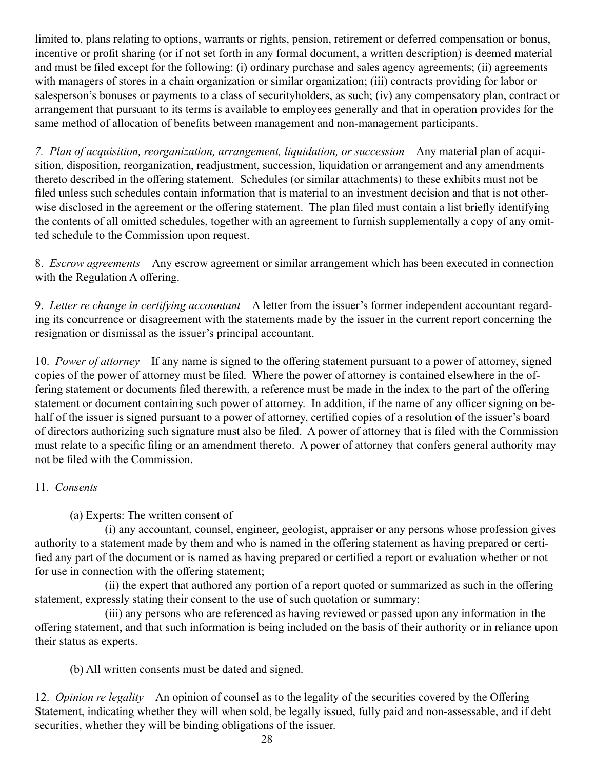limited to, plans relating to options, warrants or rights, pension, retirement or deferred compensation or bonus, incentive or profit sharing (or if not set forth in any formal document, a written description) is deemed material and must be filed except for the following: (i) ordinary purchase and sales agency agreements; (ii) agreements with managers of stores in a chain organization or similar organization; (iii) contracts providing for labor or salesperson's bonuses or payments to a class of securityholders, as such; (iv) any compensatory plan, contract or arrangement that pursuant to its terms is available to employees generally and that in operation provides for the same method of allocation of benefits between management and non-management participants.

*7. Plan of acquisition, reorganization, arrangement, liquidation, or succession*—Any material plan of acquisition, disposition, reorganization, readjustment, succession, liquidation or arrangement and any amendments thereto described in the offering statement. Schedules (or similar attachments) to these exhibits must not be filed unless such schedules contain information that is material to an investment decision and that is not otherwise disclosed in the agreement or the offering statement. The plan filed must contain a list briefly identifying the contents of all omitted schedules, together with an agreement to furnish supplementally a copy of any omitted schedule to the Commission upon request.

8. *Escrow agreements*—Any escrow agreement or similar arrangement which has been executed in connection with the Regulation A offering.

9. *Letter re change in certifying accountant*—A letter from the issuer's former independent accountant regarding its concurrence or disagreement with the statements made by the issuer in the current report concerning the resignation or dismissal as the issuer's principal accountant.

10. *Power of attorney*—If any name is signed to the offering statement pursuant to a power of attorney, signed copies of the power of attorney must be filed. Where the power of attorney is contained elsewhere in the offering statement or documents filed therewith, a reference must be made in the index to the part of the offering statement or document containing such power of attorney. In addition, if the name of any officer signing on behalf of the issuer is signed pursuant to a power of attorney, certified copies of a resolution of the issuer's board of directors authorizing such signature must also be filed. A power of attorney that is filed with the Commission must relate to a specific filing or an amendment thereto. A power of attorney that confers general authority may not be filed with the Commission.

## 11. *Consents*—

 (a) Experts: The written consent of

 (i) any accountant, counsel, engineer, geologist, appraiser or any persons whose profession gives authority to a statement made by them and who is named in the offering statement as having prepared or certified any part of the document or is named as having prepared or certified a report or evaluation whether or not for use in connection with the offering statement;

 (ii) the expert that authored any portion of a report quoted or summarized as such in the offering statement, expressly stating their consent to the use of such quotation or summary;

 (iii) any persons who are referenced as having reviewed or passed upon any information in the offering statement, and that such information is being included on the basis of their authority or in reliance upon their status as experts.

 (b) All written consents must be dated and signed.

12. *Opinion re legality*—An opinion of counsel as to the legality of the securities covered by the Offering Statement, indicating whether they will when sold, be legally issued, fully paid and non-assessable, and if debt securities, whether they will be binding obligations of the issuer.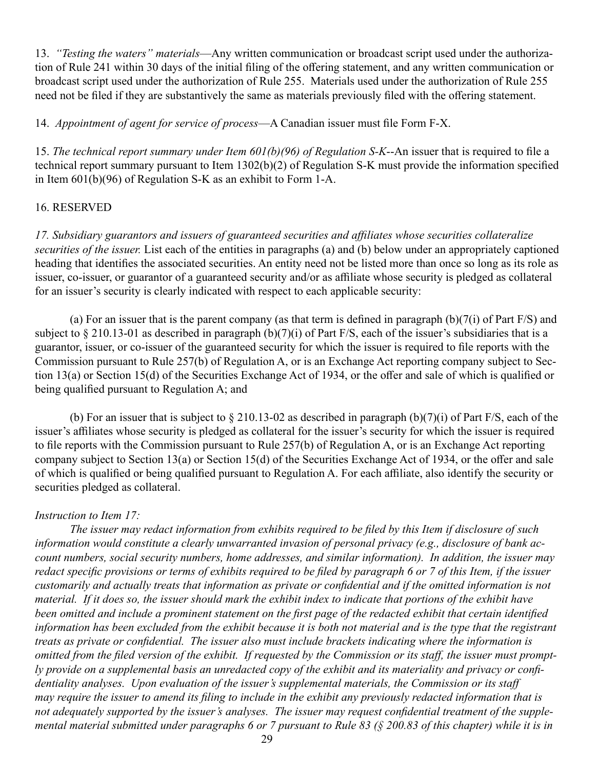13. *"Testing the waters" materials*—Any written communication or broadcast script used under the authorization of Rule 241 within 30 days of the initial filing of the offering statement, and any written communication or broadcast script used under the authorization of Rule 255. Materials used under the authorization of Rule 255 need not be filed if they are substantively the same as materials previously filed with the offering statement.

14. *Appointment of agent for service of process*—A Canadian issuer must file Form F-X.

15. *The technical report summary under Item 601(b)(96) of Regulation S-K*--An issuer that is required to file a technical report summary pursuant to Item 1302(b)(2) of Regulation S-K must provide the information specified in Item 601(b)(96) of Regulation S-K as an exhibit to Form 1-A.

#### 16. RESERVED

*17. Subsidiary guarantors and issuers of guaranteed securities and affiliates whose securities collateralize securities of the issuer.* List each of the entities in paragraphs (a) and (b) below under an appropriately captioned heading that identifies the associated securities. An entity need not be listed more than once so long as its role as issuer, co-issuer, or guarantor of a guaranteed security and/or as affiliate whose security is pledged as collateral for an issuer's security is clearly indicated with respect to each applicable security:

(a) For an issuer that is the parent company (as that term is defined in paragraph  $(b)(7(i)$  of Part F/S) and subject to  $\S 210.13$ -01 as described in paragraph (b)(7)(i) of Part F/S, each of the issuer's subsidiaries that is a guarantor, issuer, or co-issuer of the guaranteed security for which the issuer is required to file reports with the Commission pursuant to Rule 257(b) of Regulation A, or is an Exchange Act reporting company subject to Section 13(a) or Section 15(d) of the Securities Exchange Act of 1934, or the offer and sale of which is qualified or being qualified pursuant to Regulation A; and

(b) For an issuer that is subject to  $\S 210.13-02$  as described in paragraph (b)(7)(i) of Part F/S, each of the issuer's affiliates whose security is pledged as collateral for the issuer's security for which the issuer is required to file reports with the Commission pursuant to Rule 257(b) of Regulation A, or is an Exchange Act reporting company subject to Section 13(a) or Section 15(d) of the Securities Exchange Act of 1934, or the offer and sale of which is qualified or being qualified pursuant to Regulation A. For each affiliate, also identify the security or securities pledged as collateral.

### *Instruction to Item 17:*

*The issuer may redact information from exhibits required to be filed by this Item if disclosure of such information would constitute a clearly unwarranted invasion of personal privacy (e.g., disclosure of bank account numbers, social security numbers, home addresses, and similar information). In addition, the issuer may redact specific provisions or terms of exhibits required to be filed by paragraph 6 or 7 of this Item, if the issuer customarily and actually treats that information as private or confidential and if the omitted information is not material. If it does so, the issuer should mark the exhibit index to indicate that portions of the exhibit have been omitted and include a prominent statement on the first page of the redacted exhibit that certain identified information has been excluded from the exhibit because it is both not material and is the type that the registrant treats as private or confidential. The issuer also must include brackets indicating where the information is omitted from the filed version of the exhibit. If requested by the Commission or its staff, the issuer must promptly provide on a supplemental basis an unredacted copy of the exhibit and its materiality and privacy or confidentiality analyses. Upon evaluation of the issuer's supplemental materials, the Commission or its staff may require the issuer to amend its filing to include in the exhibit any previously redacted information that is not adequately supported by the issuer's analyses. The issuer may request confidential treatment of the supplemental material submitted under paragraphs 6 or 7 pursuant to Rule 83 (§ 200.83 of this chapter) while it is in*